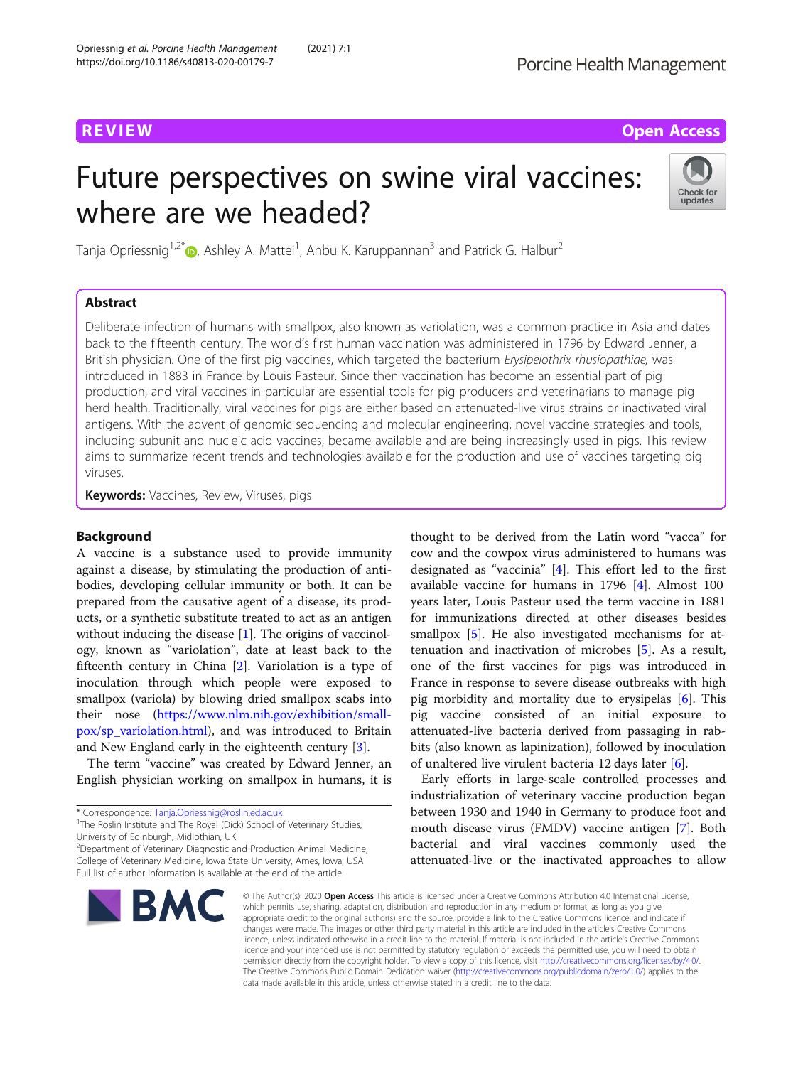# **REVIEW ACCESS AND LOCAL CONTRACT CONTRACT OF ACCESS**

# Future perspectives on swine viral vaccines: where are we headed?



Tanja Opriessnig<sup>1,2[\\*](http://orcid.org/0000-0001-9642-0904)</sup>®, Ashley A. Mattei<sup>1</sup>, Anbu K. Karuppannan<sup>3</sup> and Patrick G. Halbur<sup>2</sup>

# Abstract

Deliberate infection of humans with smallpox, also known as variolation, was a common practice in Asia and dates back to the fifteenth century. The world's first human vaccination was administered in 1796 by Edward Jenner, a British physician. One of the first pig vaccines, which targeted the bacterium Erysipelothrix rhusiopathiae, was introduced in 1883 in France by Louis Pasteur. Since then vaccination has become an essential part of pig production, and viral vaccines in particular are essential tools for pig producers and veterinarians to manage pig herd health. Traditionally, viral vaccines for pigs are either based on attenuated-live virus strains or inactivated viral antigens. With the advent of genomic sequencing and molecular engineering, novel vaccine strategies and tools, including subunit and nucleic acid vaccines, became available and are being increasingly used in pigs. This review aims to summarize recent trends and technologies available for the production and use of vaccines targeting pig viruses.

**Keywords:** Vaccines, Review, Viruses, pigs

# Background

A vaccine is a substance used to provide immunity against a disease, by stimulating the production of antibodies, developing cellular immunity or both. It can be prepared from the causative agent of a disease, its products, or a synthetic substitute treated to act as an antigen without inducing the disease [[1\]](#page-12-0). The origins of vaccinology, known as "variolation", date at least back to the fifteenth century in China [[2\]](#page-12-0). Variolation is a type of inoculation through which people were exposed to smallpox (variola) by blowing dried smallpox scabs into their nose ([https://www.nlm.nih.gov/exhibition/small](https://www.nlm.nih.gov/exhibition/smallpox/sp_variolation.html)[pox/sp\\_variolation.html\)](https://www.nlm.nih.gov/exhibition/smallpox/sp_variolation.html), and was introduced to Britain and New England early in the eighteenth century [\[3](#page-12-0)].

The term "vaccine" was created by Edward Jenner, an English physician working on smallpox in humans, it is

<sup>2</sup> Department of Veterinary Diagnostic and Production Animal Medicine, College of Veterinary Medicine, Iowa State University, Ames, Iowa, USA Full list of author information is available at the end of the article



thought to be derived from the Latin word "vacca" for cow and the cowpox virus administered to humans was designated as "vaccinia" [\[4](#page-12-0)]. This effort led to the first available vaccine for humans in 1796 [[4](#page-12-0)]. Almost 100 years later, Louis Pasteur used the term vaccine in 1881 for immunizations directed at other diseases besides smallpox [\[5](#page-12-0)]. He also investigated mechanisms for attenuation and inactivation of microbes [[5\]](#page-12-0). As a result, one of the first vaccines for pigs was introduced in France in response to severe disease outbreaks with high pig morbidity and mortality due to erysipelas [[6\]](#page-12-0). This pig vaccine consisted of an initial exposure to attenuated-live bacteria derived from passaging in rabbits (also known as lapinization), followed by inoculation of unaltered live virulent bacteria 12 days later [\[6](#page-12-0)].

Early efforts in large-scale controlled processes and industrialization of veterinary vaccine production began between 1930 and 1940 in Germany to produce foot and mouth disease virus (FMDV) vaccine antigen [[7](#page-12-0)]. Both bacterial and viral vaccines commonly used the attenuated-live or the inactivated approaches to allow

© The Author(s), 2020 **Open Access** This article is licensed under a Creative Commons Attribution 4.0 International License, which permits use, sharing, adaptation, distribution and reproduction in any medium or format, as long as you give appropriate credit to the original author(s) and the source, provide a link to the Creative Commons licence, and indicate if changes were made. The images or other third party material in this article are included in the article's Creative Commons licence, unless indicated otherwise in a credit line to the material. If material is not included in the article's Creative Commons licence and your intended use is not permitted by statutory regulation or exceeds the permitted use, you will need to obtain permission directly from the copyright holder. To view a copy of this licence, visit [http://creativecommons.org/licenses/by/4.0/.](http://creativecommons.org/licenses/by/4.0/) The Creative Commons Public Domain Dedication waiver [\(http://creativecommons.org/publicdomain/zero/1.0/](http://creativecommons.org/publicdomain/zero/1.0/)) applies to the data made available in this article, unless otherwise stated in a credit line to the data.

<sup>\*</sup> Correspondence: [Tanja.Opriessnig@roslin.ed.ac.uk](mailto:Tanja.Opriessnig@roslin.ed.ac.uk) <sup>1</sup>

<sup>&</sup>lt;sup>1</sup>The Roslin Institute and The Royal (Dick) School of Veterinary Studies, University of Edinburgh, Midlothian, UK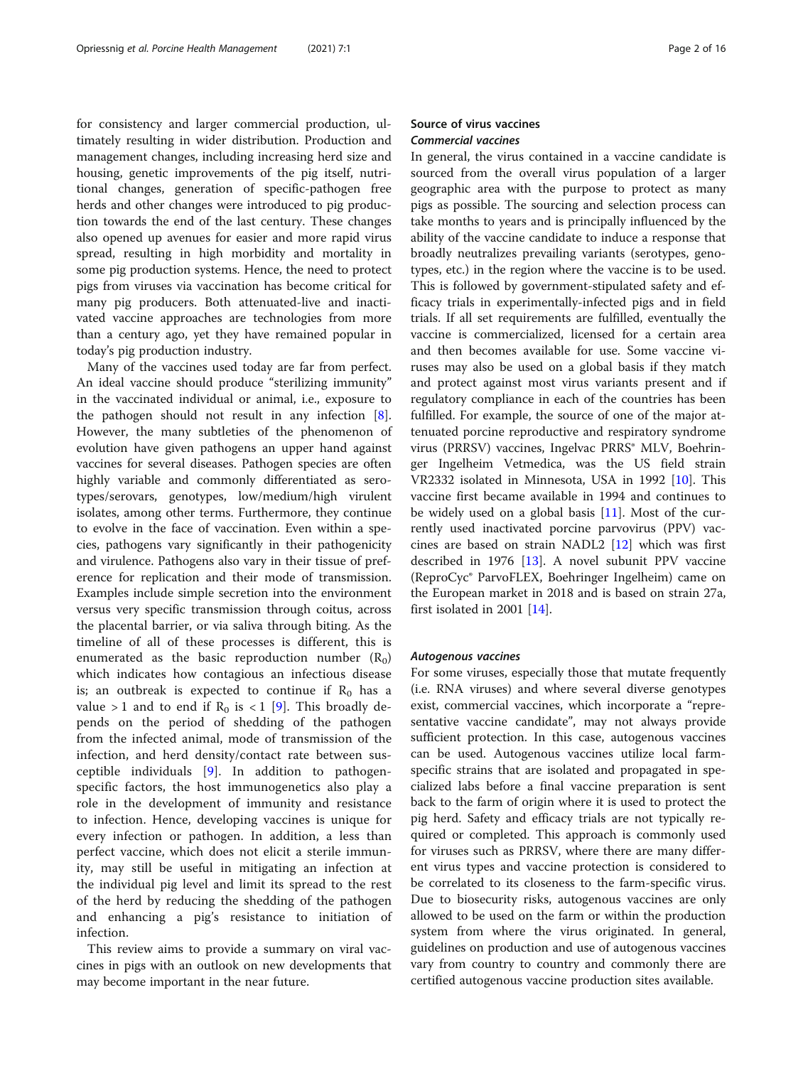for consistency and larger commercial production, ultimately resulting in wider distribution. Production and management changes, including increasing herd size and housing, genetic improvements of the pig itself, nutritional changes, generation of specific-pathogen free herds and other changes were introduced to pig production towards the end of the last century. These changes also opened up avenues for easier and more rapid virus spread, resulting in high morbidity and mortality in some pig production systems. Hence, the need to protect pigs from viruses via vaccination has become critical for many pig producers. Both attenuated-live and inactivated vaccine approaches are technologies from more than a century ago, yet they have remained popular in today's pig production industry.

Many of the vaccines used today are far from perfect. An ideal vaccine should produce "sterilizing immunity" in the vaccinated individual or animal, i.e., exposure to the pathogen should not result in any infection [\[8](#page-12-0)]. However, the many subtleties of the phenomenon of evolution have given pathogens an upper hand against vaccines for several diseases. Pathogen species are often highly variable and commonly differentiated as serotypes/serovars, genotypes, low/medium/high virulent isolates, among other terms. Furthermore, they continue to evolve in the face of vaccination. Even within a species, pathogens vary significantly in their pathogenicity and virulence. Pathogens also vary in their tissue of preference for replication and their mode of transmission. Examples include simple secretion into the environment versus very specific transmission through coitus, across the placental barrier, or via saliva through biting. As the timeline of all of these processes is different, this is enumerated as the basic reproduction number  $(R_0)$ which indicates how contagious an infectious disease is; an outbreak is expected to continue if  $R_0$  has a value > 1 and to end if  $R_0$  is < 1 [[9\]](#page-12-0). This broadly depends on the period of shedding of the pathogen from the infected animal, mode of transmission of the infection, and herd density/contact rate between susceptible individuals [[9\]](#page-12-0). In addition to pathogenspecific factors, the host immunogenetics also play a role in the development of immunity and resistance to infection. Hence, developing vaccines is unique for every infection or pathogen. In addition, a less than perfect vaccine, which does not elicit a sterile immunity, may still be useful in mitigating an infection at the individual pig level and limit its spread to the rest of the herd by reducing the shedding of the pathogen and enhancing a pig's resistance to initiation of infection.

This review aims to provide a summary on viral vaccines in pigs with an outlook on new developments that may become important in the near future.

# Source of virus vaccines Commercial vaccines

In general, the virus contained in a vaccine candidate is sourced from the overall virus population of a larger geographic area with the purpose to protect as many pigs as possible. The sourcing and selection process can take months to years and is principally influenced by the ability of the vaccine candidate to induce a response that broadly neutralizes prevailing variants (serotypes, genotypes, etc.) in the region where the vaccine is to be used. This is followed by government-stipulated safety and efficacy trials in experimentally-infected pigs and in field trials. If all set requirements are fulfilled, eventually the vaccine is commercialized, licensed for a certain area and then becomes available for use. Some vaccine viruses may also be used on a global basis if they match and protect against most virus variants present and if regulatory compliance in each of the countries has been fulfilled. For example, the source of one of the major attenuated porcine reproductive and respiratory syndrome virus (PRRSV) vaccines, Ingelvac PRRS® MLV, Boehringer Ingelheim Vetmedica, was the US field strain VR2332 isolated in Minnesota, USA in 1992 [\[10\]](#page-12-0). This vaccine first became available in 1994 and continues to be widely used on a global basis [[11](#page-12-0)]. Most of the currently used inactivated porcine parvovirus (PPV) vaccines are based on strain NADL2 [\[12](#page-12-0)] which was first described in 1976 [[13\]](#page-12-0). A novel subunit PPV vaccine (ReproCyc® ParvoFLEX, Boehringer Ingelheim) came on the European market in 2018 and is based on strain 27a, first isolated in 2001 [[14](#page-12-0)].

#### Autogenous vaccines

For some viruses, especially those that mutate frequently (i.e. RNA viruses) and where several diverse genotypes exist, commercial vaccines, which incorporate a "representative vaccine candidate", may not always provide sufficient protection. In this case, autogenous vaccines can be used. Autogenous vaccines utilize local farmspecific strains that are isolated and propagated in specialized labs before a final vaccine preparation is sent back to the farm of origin where it is used to protect the pig herd. Safety and efficacy trials are not typically required or completed. This approach is commonly used for viruses such as PRRSV, where there are many different virus types and vaccine protection is considered to be correlated to its closeness to the farm-specific virus. Due to biosecurity risks, autogenous vaccines are only allowed to be used on the farm or within the production system from where the virus originated. In general, guidelines on production and use of autogenous vaccines vary from country to country and commonly there are certified autogenous vaccine production sites available.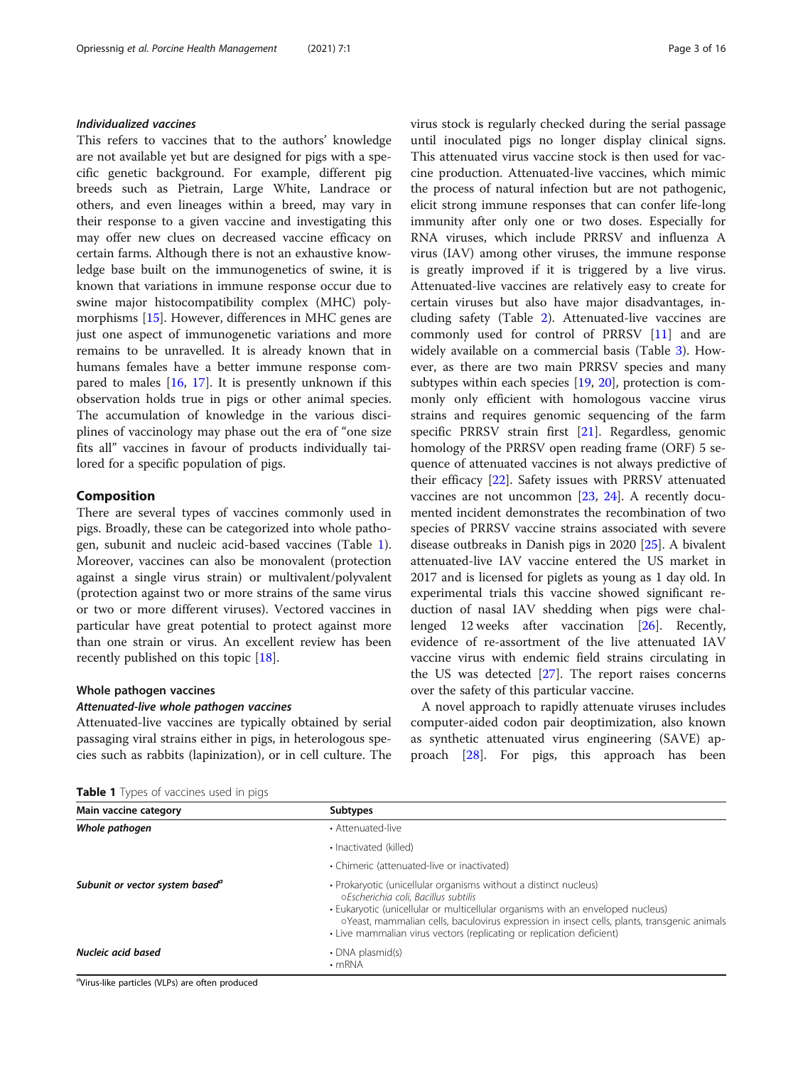# Individualized vaccines

This refers to vaccines that to the authors' knowledge are not available yet but are designed for pigs with a specific genetic background. For example, different pig breeds such as Pietrain, Large White, Landrace or others, and even lineages within a breed, may vary in their response to a given vaccine and investigating this may offer new clues on decreased vaccine efficacy on certain farms. Although there is not an exhaustive knowledge base built on the immunogenetics of swine, it is known that variations in immune response occur due to swine major histocompatibility complex (MHC) polymorphisms [[15](#page-12-0)]. However, differences in MHC genes are just one aspect of immunogenetic variations and more remains to be unravelled. It is already known that in humans females have a better immune response compared to males [[16](#page-12-0), [17](#page-12-0)]. It is presently unknown if this observation holds true in pigs or other animal species. The accumulation of knowledge in the various disciplines of vaccinology may phase out the era of "one size fits all" vaccines in favour of products individually tailored for a specific population of pigs.

#### Composition

There are several types of vaccines commonly used in pigs. Broadly, these can be categorized into whole pathogen, subunit and nucleic acid-based vaccines (Table 1). Moreover, vaccines can also be monovalent (protection against a single virus strain) or multivalent/polyvalent (protection against two or more strains of the same virus or two or more different viruses). Vectored vaccines in particular have great potential to protect against more than one strain or virus. An excellent review has been recently published on this topic [\[18](#page-12-0)].

# Whole pathogen vaccines

#### Attenuated-live whole pathogen vaccines

Attenuated-live vaccines are typically obtained by serial passaging viral strains either in pigs, in heterologous species such as rabbits (lapinization), or in cell culture. The virus stock is regularly checked during the serial passage until inoculated pigs no longer display clinical signs. This attenuated virus vaccine stock is then used for vaccine production. Attenuated-live vaccines, which mimic the process of natural infection but are not pathogenic, elicit strong immune responses that can confer life-long immunity after only one or two doses. Especially for RNA viruses, which include PRRSV and influenza A virus (IAV) among other viruses, the immune response is greatly improved if it is triggered by a live virus. Attenuated-live vaccines are relatively easy to create for certain viruses but also have major disadvantages, including safety (Table [2](#page-3-0)). Attenuated-live vaccines are commonly used for control of PRRSV [[11](#page-12-0)] and are widely available on a commercial basis (Table [3](#page-4-0)). However, as there are two main PRRSV species and many subtypes within each species [[19,](#page-12-0) [20\]](#page-12-0), protection is commonly only efficient with homologous vaccine virus strains and requires genomic sequencing of the farm specific PRRSV strain first [\[21](#page-12-0)]. Regardless, genomic homology of the PRRSV open reading frame (ORF) 5 sequence of attenuated vaccines is not always predictive of their efficacy [\[22](#page-12-0)]. Safety issues with PRRSV attenuated vaccines are not uncommon [[23,](#page-12-0) [24\]](#page-12-0). A recently documented incident demonstrates the recombination of two species of PRRSV vaccine strains associated with severe disease outbreaks in Danish pigs in 2020 [\[25](#page-12-0)]. A bivalent attenuated-live IAV vaccine entered the US market in 2017 and is licensed for piglets as young as 1 day old. In experimental trials this vaccine showed significant reduction of nasal IAV shedding when pigs were challenged 12 weeks after vaccination [\[26](#page-12-0)]. Recently, evidence of re-assortment of the live attenuated IAV vaccine virus with endemic field strains circulating in the US was detected [[27](#page-12-0)]. The report raises concerns over the safety of this particular vaccine.

A novel approach to rapidly attenuate viruses includes computer-aided codon pair deoptimization, also known as synthetic attenuated virus engineering (SAVE) approach [[28\]](#page-12-0). For pigs, this approach has been

|  |  | Table 1 Types of vaccines used in pigs |  |  |  |
|--|--|----------------------------------------|--|--|--|
|--|--|----------------------------------------|--|--|--|

| Main vaccine category                              | <b>Subtypes</b>                                                                                                                                                                                                                                                                                                                                                     |
|----------------------------------------------------|---------------------------------------------------------------------------------------------------------------------------------------------------------------------------------------------------------------------------------------------------------------------------------------------------------------------------------------------------------------------|
| Whole pathogen                                     | • Attenuated-live                                                                                                                                                                                                                                                                                                                                                   |
|                                                    | • Inactivated (killed)                                                                                                                                                                                                                                                                                                                                              |
|                                                    | • Chimeric (attenuated-live or inactivated)                                                                                                                                                                                                                                                                                                                         |
| Subunit or vector system based <sup>a</sup>        | · Prokaryotic (unicellular organisms without a distinct nucleus)<br>oEscherichia coli. Bacillus subtilis<br>• Eukaryotic (unicellular or multicellular organisms with an enveloped nucleus)<br>oYeast, mammalian cells, baculovirus expression in insect cells, plants, transgenic animals<br>• Live mammalian virus vectors (replicating or replication deficient) |
| Nucleic acid based                                 | • DNA plasmid(s)<br>$\cdot$ mRNA                                                                                                                                                                                                                                                                                                                                    |
| (Album Blue membeles All De) and office modelinged |                                                                                                                                                                                                                                                                                                                                                                     |

a Virus-like particles (VLPs) are often produced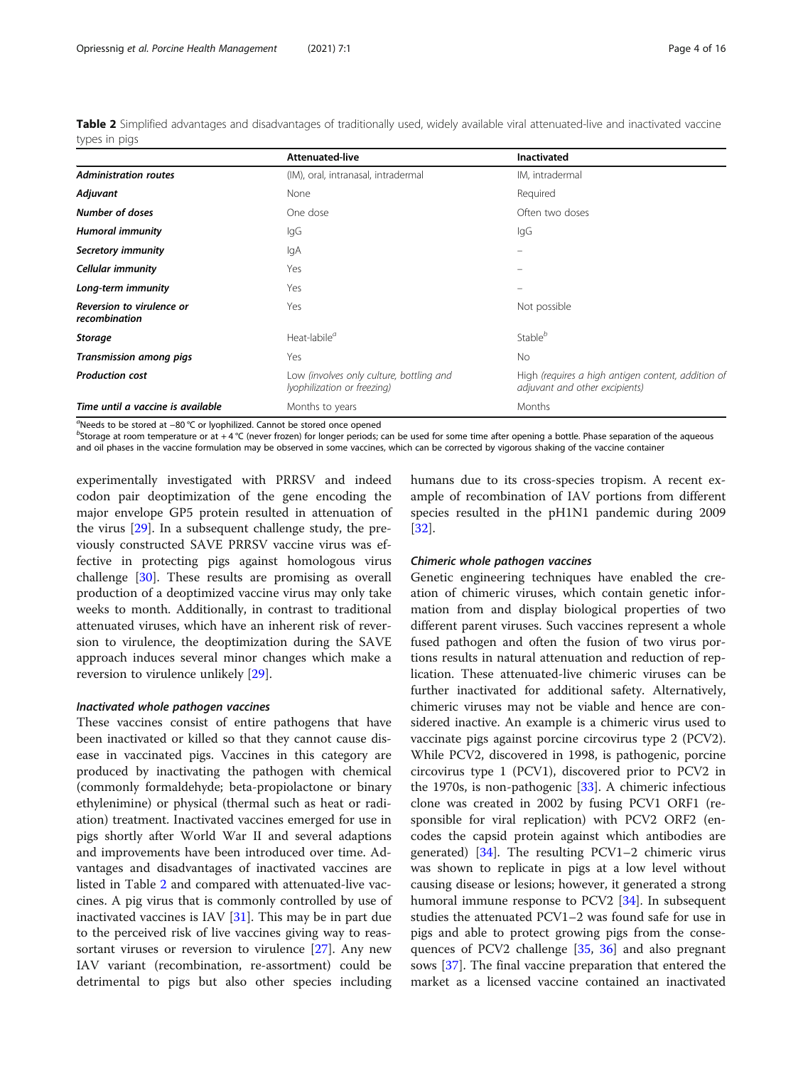<span id="page-3-0"></span>Table 2 Simplified advantages and disadvantages of traditionally used, widely available viral attenuated-live and inactivated vaccine types in pigs

|                                            | Attenuated-live                                                         | <b>Inactivated</b>                                                                   |
|--------------------------------------------|-------------------------------------------------------------------------|--------------------------------------------------------------------------------------|
| <b>Administration routes</b>               | (IM), oral, intranasal, intradermal                                     | IM, intradermal                                                                      |
| Adjuvant                                   | None                                                                    | Required                                                                             |
| <b>Number of doses</b>                     | One dose                                                                | Often two doses                                                                      |
| <b>Humoral immunity</b>                    | IgG                                                                     | lgG                                                                                  |
| Secretory immunity                         | lgA                                                                     | $\equiv$                                                                             |
| <b>Cellular immunity</b>                   | Yes                                                                     |                                                                                      |
| Long-term immunity                         | Yes                                                                     |                                                                                      |
| Reversion to virulence or<br>recombination | Yes                                                                     | Not possible                                                                         |
| <b>Storage</b>                             | Heat-labile <sup>a</sup>                                                | Stable <sup>b</sup>                                                                  |
| Transmission among pigs                    | Yes                                                                     | No.                                                                                  |
| <b>Production cost</b>                     | Low (involves only culture, bottling and<br>lyophilization or freezing) | High (requires a high antigen content, addition of<br>adjuvant and other excipients) |
| Time until a vaccine is available          | Months to years                                                         | Months                                                                               |

a Needs to be stored at −80 °C or lyophilized. Cannot be stored once opened

 $^{\circ}$ Storage at room temperature or at +4  $^{\circ}$ C (never frozen) for longer periods; can be used for some time after opening a bottle. Phase separation of the aqueous and oil phases in the vaccine formulation may be observed in some vaccines, which can be corrected by vigorous shaking of the vaccine container

experimentally investigated with PRRSV and indeed codon pair deoptimization of the gene encoding the major envelope GP5 protein resulted in attenuation of the virus [[29](#page-12-0)]. In a subsequent challenge study, the previously constructed SAVE PRRSV vaccine virus was effective in protecting pigs against homologous virus challenge [\[30](#page-12-0)]. These results are promising as overall production of a deoptimized vaccine virus may only take weeks to month. Additionally, in contrast to traditional attenuated viruses, which have an inherent risk of reversion to virulence, the deoptimization during the SAVE approach induces several minor changes which make a reversion to virulence unlikely [[29\]](#page-12-0).

#### Inactivated whole pathogen vaccines

These vaccines consist of entire pathogens that have been inactivated or killed so that they cannot cause disease in vaccinated pigs. Vaccines in this category are produced by inactivating the pathogen with chemical (commonly formaldehyde; beta-propiolactone or binary ethylenimine) or physical (thermal such as heat or radiation) treatment. Inactivated vaccines emerged for use in pigs shortly after World War II and several adaptions and improvements have been introduced over time. Advantages and disadvantages of inactivated vaccines are listed in Table 2 and compared with attenuated-live vaccines. A pig virus that is commonly controlled by use of inactivated vaccines is IAV [\[31](#page-12-0)]. This may be in part due to the perceived risk of live vaccines giving way to reassortant viruses or reversion to virulence [[27](#page-12-0)]. Any new IAV variant (recombination, re-assortment) could be detrimental to pigs but also other species including humans due to its cross-species tropism. A recent example of recombination of IAV portions from different species resulted in the pH1N1 pandemic during 2009 [[32\]](#page-12-0).

#### Chimeric whole pathogen vaccines

Genetic engineering techniques have enabled the creation of chimeric viruses, which contain genetic information from and display biological properties of two different parent viruses. Such vaccines represent a whole fused pathogen and often the fusion of two virus portions results in natural attenuation and reduction of replication. These attenuated-live chimeric viruses can be further inactivated for additional safety. Alternatively, chimeric viruses may not be viable and hence are considered inactive. An example is a chimeric virus used to vaccinate pigs against porcine circovirus type 2 (PCV2). While PCV2, discovered in 1998, is pathogenic, porcine circovirus type 1 (PCV1), discovered prior to PCV2 in the 1970s, is non-pathogenic  $[33]$  $[33]$ . A chimeric infectious clone was created in 2002 by fusing PCV1 ORF1 (responsible for viral replication) with PCV2 ORF2 (encodes the capsid protein against which antibodies are generated) [[34\]](#page-12-0). The resulting PCV1–2 chimeric virus was shown to replicate in pigs at a low level without causing disease or lesions; however, it generated a strong humoral immune response to PCV2 [[34\]](#page-12-0). In subsequent studies the attenuated PCV1–2 was found safe for use in pigs and able to protect growing pigs from the consequences of PCV2 challenge [[35](#page-13-0), [36\]](#page-13-0) and also pregnant sows [[37](#page-13-0)]. The final vaccine preparation that entered the market as a licensed vaccine contained an inactivated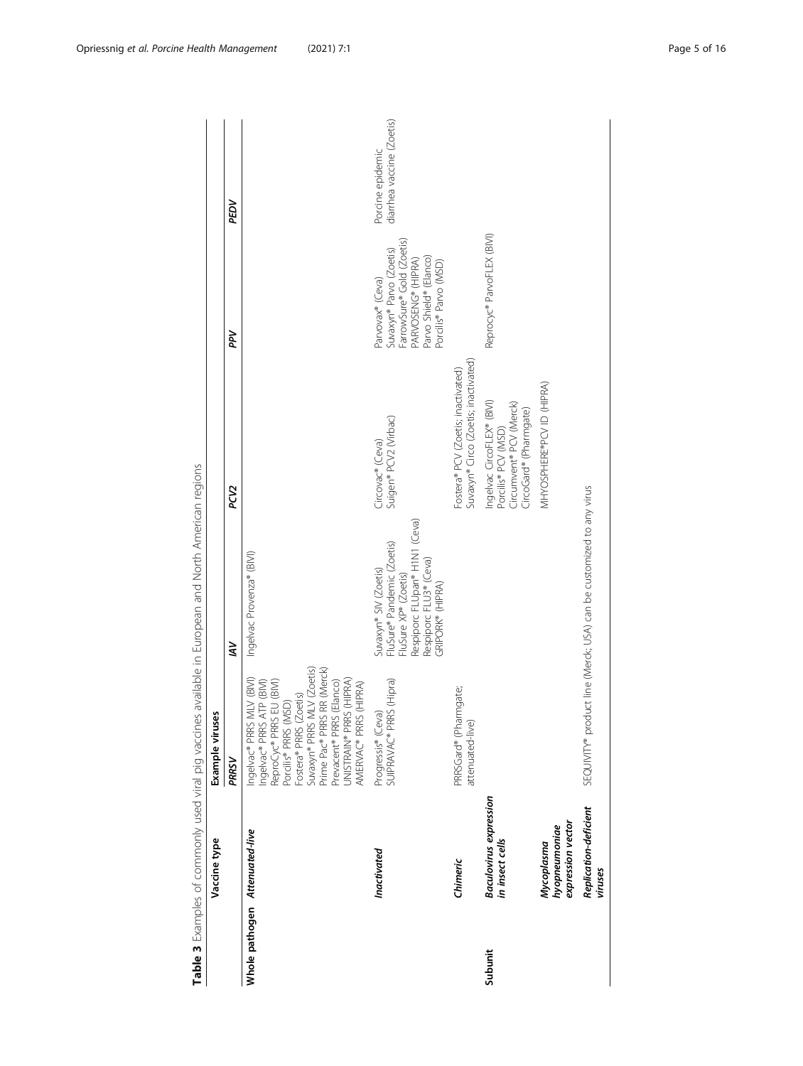<span id="page-4-0"></span>

| ) シニュー・ファー・シー                  | Vaccine type                                     | Example viruses                                                                                                                                                                                                                                                                     |                                                                                                                                                                        |                                                                                                        |                                                                                                                                                   |                                               |
|--------------------------------|--------------------------------------------------|-------------------------------------------------------------------------------------------------------------------------------------------------------------------------------------------------------------------------------------------------------------------------------------|------------------------------------------------------------------------------------------------------------------------------------------------------------------------|--------------------------------------------------------------------------------------------------------|---------------------------------------------------------------------------------------------------------------------------------------------------|-----------------------------------------------|
|                                |                                                  | PRRSV                                                                                                                                                                                                                                                                               | š                                                                                                                                                                      | PCV <sub>2</sub>                                                                                       | ΡÞ                                                                                                                                                | PEDV                                          |
| Whole pathogen Attenuated-live |                                                  | Suvaxyn® PRRS MLV (Zoetis)<br>Prime Pac® PRRS RR (Merck)<br>JNISTRAIN® PRRS (HIPRA)<br>MLV (BIVI)<br>Ingelvac® PRRS ATP (BIVI)<br>ReproCyc® PRRS EU (BIVI)<br>Porcilis® PRRS (MSD)<br>Prevacent® PRRS (Elanco)<br>AMERVAC® PRRS (HIPRA)<br>Fostera® PRRS (Zoetis)<br>Ingelvac® PRRS | Ingelvac Provenza® (BIVI)                                                                                                                                              |                                                                                                        |                                                                                                                                                   |                                               |
|                                | Inactivated                                      | SUIPRAVAC <sup>®</sup> PRRS (Hipra)<br>Progressis® (Ceva)                                                                                                                                                                                                                           | Respiporc FLUpan® H1N1 (Ceva)<br>FluSure® Pandemic (Zoetis)<br>FluSure XP® (Zoetis)<br>Respiporc FLU3 <sup>®</sup> (Ceva)<br>Suvaxyn® SIV (Zoetis)<br>GRIPORK® (HIPRA) | Suigen® PCV2 (Virbac)<br>Circovac® (Ceva)                                                              | FarrowSure® Gold (Zoetis)<br>Suvaxyn® Parvo (Zoetis)<br>Parvo Shield® (Elanco)<br>PARVOSENG® (HIPRA)<br>Porcilis® Parvo (MSD)<br>Parvovax® (Ceva) | diarrhea vaccine (Zoetis)<br>Porcine epidemic |
|                                | Chimeric                                         | PRRSGard® (Pharmgate;<br>attenuated-live)                                                                                                                                                                                                                                           |                                                                                                                                                                        | Suvaxyn® Circo (Zoetis; inactivated)<br>Fostera® PCV (Zoetis; inactivated)                             |                                                                                                                                                   |                                               |
| Subunit                        | <b>Baculovirus</b> expression<br>in insect cells |                                                                                                                                                                                                                                                                                     |                                                                                                                                                                        | Ingelvac CircoFLEX® (BIVI)<br>Porcilis® PCV (MSD)<br>Circumvent® PCV (Merck)<br>CircoGard® (Pharmgate) | Reprocyc® ParvoFLEX (BIVI)                                                                                                                        |                                               |
|                                | expression vector<br>hyopneumoniae<br>Mycoplasma |                                                                                                                                                                                                                                                                                     |                                                                                                                                                                        | MHYOSPHERE®PCV ID (HIPRA)                                                                              |                                                                                                                                                   |                                               |
|                                | Replication-deficient<br>viruses                 |                                                                                                                                                                                                                                                                                     | SEQUIVITY® product line (Merck; USA) can be customized to any virus                                                                                                    |                                                                                                        |                                                                                                                                                   |                                               |

Table 3 Examples of commonly used viral pig vaccines available in European and North American regions Table 3 Examples of commonly used viral pig vaccines available in European and North American regions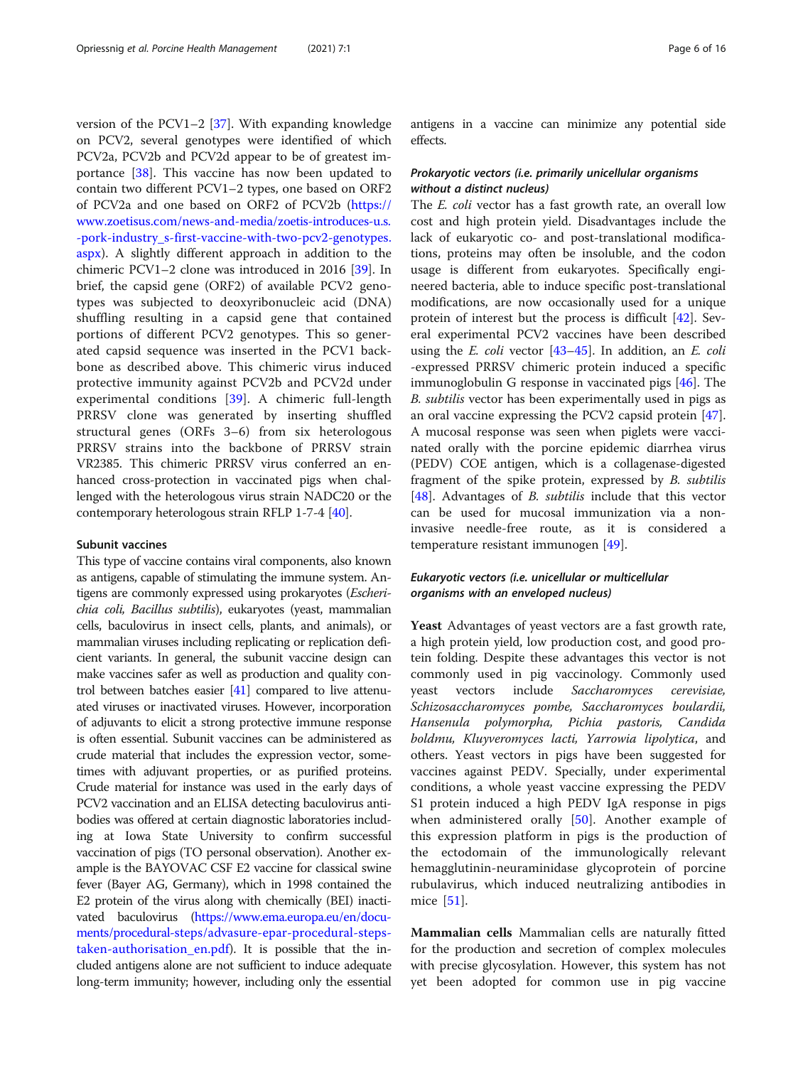version of the PCV1–2 [[37](#page-13-0)]. With expanding knowledge on PCV2, several genotypes were identified of which PCV2a, PCV2b and PCV2d appear to be of greatest importance [[38](#page-13-0)]. This vaccine has now been updated to contain two different PCV1–2 types, one based on ORF2 of PCV2a and one based on ORF2 of PCV2b ([https://](https://www.zoetisus.com/news-and-media/zoetis-introduces-u.s.-pork-industry_s-first-vaccine-with-two-pcv2-genotypes.aspx) [www.zoetisus.com/news-and-media/zoetis-introduces-u.s.](https://www.zoetisus.com/news-and-media/zoetis-introduces-u.s.-pork-industry_s-first-vaccine-with-two-pcv2-genotypes.aspx) [-pork-industry\\_s-first-vaccine-with-two-pcv2-genotypes.](https://www.zoetisus.com/news-and-media/zoetis-introduces-u.s.-pork-industry_s-first-vaccine-with-two-pcv2-genotypes.aspx) [aspx](https://www.zoetisus.com/news-and-media/zoetis-introduces-u.s.-pork-industry_s-first-vaccine-with-two-pcv2-genotypes.aspx)). A slightly different approach in addition to the chimeric PCV1–2 clone was introduced in 2016 [\[39](#page-13-0)]. In brief, the capsid gene (ORF2) of available PCV2 genotypes was subjected to deoxyribonucleic acid (DNA) shuffling resulting in a capsid gene that contained portions of different PCV2 genotypes. This so generated capsid sequence was inserted in the PCV1 backbone as described above. This chimeric virus induced protective immunity against PCV2b and PCV2d under experimental conditions [\[39](#page-13-0)]. A chimeric full-length PRRSV clone was generated by inserting shuffled structural genes (ORFs 3–6) from six heterologous PRRSV strains into the backbone of PRRSV strain VR2385. This chimeric PRRSV virus conferred an enhanced cross-protection in vaccinated pigs when challenged with the heterologous virus strain NADC20 or the contemporary heterologous strain RFLP 1-7-4 [\[40](#page-13-0)].

# Subunit vaccines

This type of vaccine contains viral components, also known as antigens, capable of stimulating the immune system. Antigens are commonly expressed using prokaryotes (Escherichia coli, Bacillus subtilis), eukaryotes (yeast, mammalian cells, baculovirus in insect cells, plants, and animals), or mammalian viruses including replicating or replication deficient variants. In general, the subunit vaccine design can make vaccines safer as well as production and quality control between batches easier [\[41\]](#page-13-0) compared to live attenuated viruses or inactivated viruses. However, incorporation of adjuvants to elicit a strong protective immune response is often essential. Subunit vaccines can be administered as crude material that includes the expression vector, sometimes with adjuvant properties, or as purified proteins. Crude material for instance was used in the early days of PCV2 vaccination and an ELISA detecting baculovirus antibodies was offered at certain diagnostic laboratories including at Iowa State University to confirm successful vaccination of pigs (TO personal observation). Another example is the BAYOVAC CSF E2 vaccine for classical swine fever (Bayer AG, Germany), which in 1998 contained the E2 protein of the virus along with chemically (BEI) inactivated baculovirus [\(https://www.ema.europa.eu/en/docu](https://www.ema.europa.eu/en/documents/procedural-steps/advasure-epar-procedural-steps-taken-authorisation_en.pdf)[ments/procedural-steps/advasure-epar-procedural-steps](https://www.ema.europa.eu/en/documents/procedural-steps/advasure-epar-procedural-steps-taken-authorisation_en.pdf)[taken-authorisation\\_en.pdf](https://www.ema.europa.eu/en/documents/procedural-steps/advasure-epar-procedural-steps-taken-authorisation_en.pdf)). It is possible that the included antigens alone are not sufficient to induce adequate long-term immunity; however, including only the essential antigens in a vaccine can minimize any potential side effects.

## Prokaryotic vectors (i.e. primarily unicellular organisms without a distinct nucleus)

The *E. coli* vector has a fast growth rate, an overall low cost and high protein yield. Disadvantages include the lack of eukaryotic co- and post-translational modifications, proteins may often be insoluble, and the codon usage is different from eukaryotes. Specifically engineered bacteria, able to induce specific post-translational modifications, are now occasionally used for a unique protein of interest but the process is difficult [[42\]](#page-13-0). Several experimental PCV2 vaccines have been described using the *E. coli* vector  $[43-45]$  $[43-45]$  $[43-45]$  $[43-45]$  $[43-45]$ . In addition, an *E. coli* -expressed PRRSV chimeric protein induced a specific immunoglobulin G response in vaccinated pigs [\[46\]](#page-13-0). The B. subtilis vector has been experimentally used in pigs as an oral vaccine expressing the PCV2 capsid protein [\[47](#page-13-0)]. A mucosal response was seen when piglets were vaccinated orally with the porcine epidemic diarrhea virus (PEDV) COE antigen, which is a collagenase-digested fragment of the spike protein, expressed by B. subtilis [[48\]](#page-13-0). Advantages of B. subtilis include that this vector can be used for mucosal immunization via a noninvasive needle-free route, as it is considered a temperature resistant immunogen [\[49](#page-13-0)].

# Eukaryotic vectors (i.e. unicellular or multicellular organisms with an enveloped nucleus)

Yeast Advantages of yeast vectors are a fast growth rate, a high protein yield, low production cost, and good protein folding. Despite these advantages this vector is not commonly used in pig vaccinology. Commonly used yeast vectors include Saccharomyces cerevisiae, Schizosaccharomyces pombe, Saccharomyces boulardii, Hansenula polymorpha, Pichia pastoris, Candida boldmu, Kluyveromyces lacti, Yarrowia lipolytica, and others. Yeast vectors in pigs have been suggested for vaccines against PEDV. Specially, under experimental conditions, a whole yeast vaccine expressing the PEDV S1 protein induced a high PEDV IgA response in pigs when administered orally [[50\]](#page-13-0). Another example of this expression platform in pigs is the production of the ectodomain of the immunologically relevant hemagglutinin-neuraminidase glycoprotein of porcine rubulavirus, which induced neutralizing antibodies in mice [[51\]](#page-13-0).

Mammalian cells Mammalian cells are naturally fitted for the production and secretion of complex molecules with precise glycosylation. However, this system has not yet been adopted for common use in pig vaccine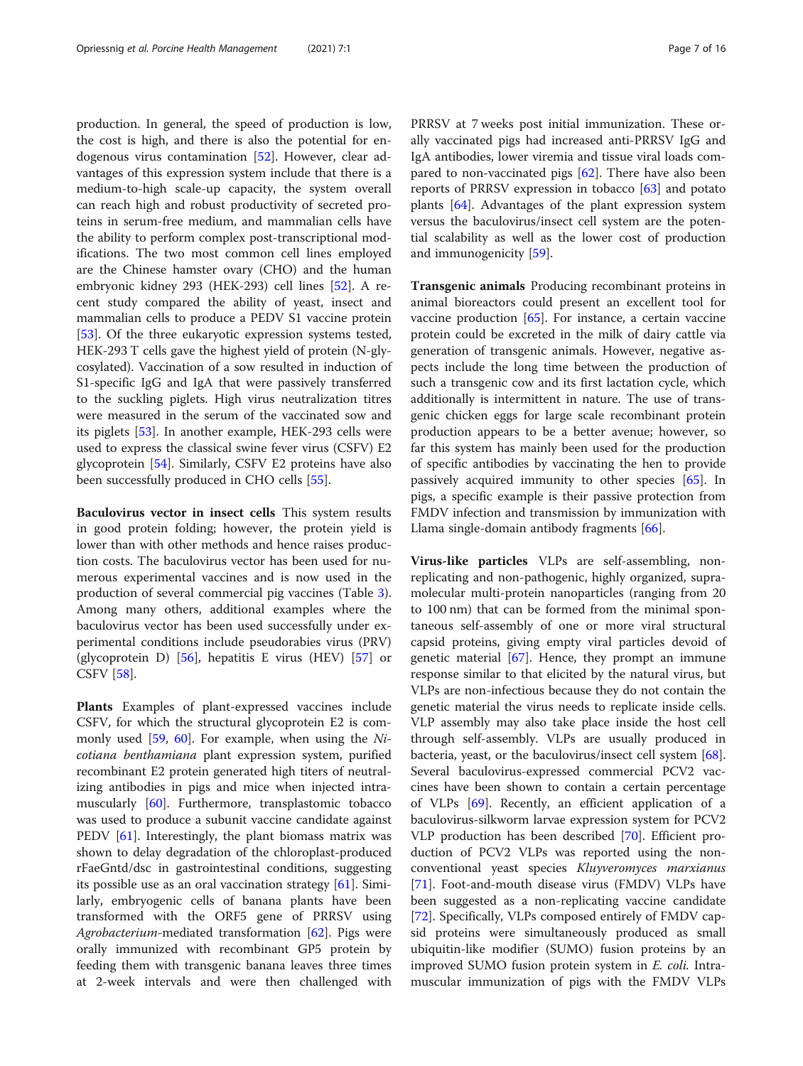production. In general, the speed of production is low, the cost is high, and there is also the potential for endogenous virus contamination [\[52\]](#page-13-0). However, clear advantages of this expression system include that there is a medium-to-high scale-up capacity, the system overall can reach high and robust productivity of secreted proteins in serum-free medium, and mammalian cells have the ability to perform complex post-transcriptional modifications. The two most common cell lines employed are the Chinese hamster ovary (CHO) and the human embryonic kidney 293 (HEK-293) cell lines [\[52\]](#page-13-0). A recent study compared the ability of yeast, insect and mammalian cells to produce a PEDV S1 vaccine protein [[53\]](#page-13-0). Of the three eukaryotic expression systems tested, HEK-293 T cells gave the highest yield of protein (N-glycosylated). Vaccination of a sow resulted in induction of S1-specific IgG and IgA that were passively transferred to the suckling piglets. High virus neutralization titres were measured in the serum of the vaccinated sow and its piglets [[53\]](#page-13-0). In another example, HEK-293 cells were used to express the classical swine fever virus (CSFV) E2 glycoprotein [\[54\]](#page-13-0). Similarly, CSFV E2 proteins have also been successfully produced in CHO cells [\[55](#page-13-0)].

Baculovirus vector in insect cells This system results in good protein folding; however, the protein yield is lower than with other methods and hence raises production costs. The baculovirus vector has been used for numerous experimental vaccines and is now used in the production of several commercial pig vaccines (Table [3](#page-4-0)). Among many others, additional examples where the baculovirus vector has been used successfully under experimental conditions include pseudorabies virus (PRV) (glycoprotein D)  $[56]$ , hepatitis E virus (HEV)  $[57]$  $[57]$  or CSFV [\[58](#page-13-0)].

Plants Examples of plant-expressed vaccines include CSFV, for which the structural glycoprotein E2 is commonly used [[59,](#page-13-0) [60](#page-13-0)]. For example, when using the Nicotiana benthamiana plant expression system, purified recombinant E2 protein generated high titers of neutralizing antibodies in pigs and mice when injected intramuscularly [[60\]](#page-13-0). Furthermore, transplastomic tobacco was used to produce a subunit vaccine candidate against PEDV [[61\]](#page-13-0). Interestingly, the plant biomass matrix was shown to delay degradation of the chloroplast-produced rFaeGntd/dsc in gastrointestinal conditions, suggesting its possible use as an oral vaccination strategy [[61](#page-13-0)]. Similarly, embryogenic cells of banana plants have been transformed with the ORF5 gene of PRRSV using Agrobacterium-mediated transformation  $[62]$  $[62]$ . Pigs were orally immunized with recombinant GP5 protein by feeding them with transgenic banana leaves three times at 2-week intervals and were then challenged with PRRSV at 7 weeks post initial immunization. These orally vaccinated pigs had increased anti-PRRSV IgG and IgA antibodies, lower viremia and tissue viral loads compared to non-vaccinated pigs [\[62](#page-13-0)]. There have also been reports of PRRSV expression in tobacco [[63](#page-13-0)] and potato plants [[64\]](#page-13-0). Advantages of the plant expression system versus the baculovirus/insect cell system are the potential scalability as well as the lower cost of production and immunogenicity [\[59](#page-13-0)].

Transgenic animals Producing recombinant proteins in animal bioreactors could present an excellent tool for vaccine production  $[65]$  $[65]$ . For instance, a certain vaccine protein could be excreted in the milk of dairy cattle via generation of transgenic animals. However, negative aspects include the long time between the production of such a transgenic cow and its first lactation cycle, which additionally is intermittent in nature. The use of transgenic chicken eggs for large scale recombinant protein production appears to be a better avenue; however, so far this system has mainly been used for the production of specific antibodies by vaccinating the hen to provide passively acquired immunity to other species [\[65](#page-13-0)]. In pigs, a specific example is their passive protection from FMDV infection and transmission by immunization with Llama single-domain antibody fragments [[66](#page-13-0)].

Virus-like particles VLPs are self-assembling, nonreplicating and non-pathogenic, highly organized, supramolecular multi-protein nanoparticles (ranging from 20 to 100 nm) that can be formed from the minimal spontaneous self-assembly of one or more viral structural capsid proteins, giving empty viral particles devoid of genetic material  $[67]$  $[67]$ . Hence, they prompt an immune response similar to that elicited by the natural virus, but VLPs are non-infectious because they do not contain the genetic material the virus needs to replicate inside cells. VLP assembly may also take place inside the host cell through self-assembly. VLPs are usually produced in bacteria, yeast, or the baculovirus/insect cell system [\[68](#page-13-0)]. Several baculovirus-expressed commercial PCV2 vaccines have been shown to contain a certain percentage of VLPs [[69\]](#page-13-0). Recently, an efficient application of a baculovirus-silkworm larvae expression system for PCV2 VLP production has been described [[70](#page-13-0)]. Efficient production of PCV2 VLPs was reported using the nonconventional yeast species Kluyveromyces marxianus [[71\]](#page-13-0). Foot-and-mouth disease virus (FMDV) VLPs have been suggested as a non-replicating vaccine candidate [[72\]](#page-13-0). Specifically, VLPs composed entirely of FMDV capsid proteins were simultaneously produced as small ubiquitin-like modifier (SUMO) fusion proteins by an improved SUMO fusion protein system in E. coli. Intramuscular immunization of pigs with the FMDV VLPs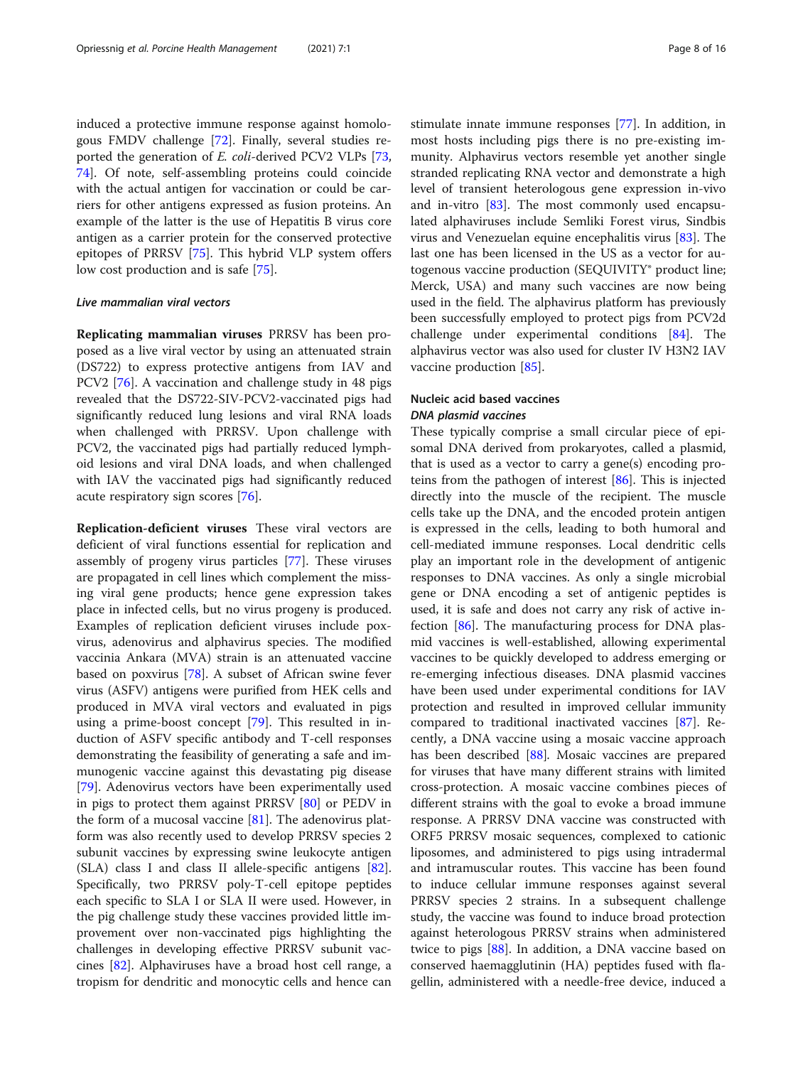induced a protective immune response against homologous FMDV challenge [\[72](#page-13-0)]. Finally, several studies reported the generation of E. coli-derived PCV2 VLPs [[73](#page-14-0), [74\]](#page-14-0). Of note, self-assembling proteins could coincide with the actual antigen for vaccination or could be carriers for other antigens expressed as fusion proteins. An example of the latter is the use of Hepatitis B virus core antigen as a carrier protein for the conserved protective epitopes of PRRSV [[75\]](#page-14-0). This hybrid VLP system offers low cost production and is safe [\[75](#page-14-0)].

#### Live mammalian viral vectors

Replicating mammalian viruses PRRSV has been proposed as a live viral vector by using an attenuated strain (DS722) to express protective antigens from IAV and PCV2 [[76\]](#page-14-0). A vaccination and challenge study in 48 pigs revealed that the DS722-SIV-PCV2-vaccinated pigs had significantly reduced lung lesions and viral RNA loads when challenged with PRRSV. Upon challenge with PCV2, the vaccinated pigs had partially reduced lymphoid lesions and viral DNA loads, and when challenged with IAV the vaccinated pigs had significantly reduced acute respiratory sign scores [[76\]](#page-14-0).

Replication-deficient viruses These viral vectors are deficient of viral functions essential for replication and assembly of progeny virus particles [[77\]](#page-14-0). These viruses are propagated in cell lines which complement the missing viral gene products; hence gene expression takes place in infected cells, but no virus progeny is produced. Examples of replication deficient viruses include poxvirus, adenovirus and alphavirus species. The modified vaccinia Ankara (MVA) strain is an attenuated vaccine based on poxvirus [\[78](#page-14-0)]. A subset of African swine fever virus (ASFV) antigens were purified from HEK cells and produced in MVA viral vectors and evaluated in pigs using a prime-boost concept [[79](#page-14-0)]. This resulted in induction of ASFV specific antibody and T-cell responses demonstrating the feasibility of generating a safe and immunogenic vaccine against this devastating pig disease [[79\]](#page-14-0). Adenovirus vectors have been experimentally used in pigs to protect them against PRRSV [\[80\]](#page-14-0) or PEDV in the form of a mucosal vaccine  $[81]$  $[81]$ . The adenovirus platform was also recently used to develop PRRSV species 2 subunit vaccines by expressing swine leukocyte antigen (SLA) class I and class II allele-specific antigens [\[82](#page-14-0)]. Specifically, two PRRSV poly-T-cell epitope peptides each specific to SLA I or SLA II were used. However, in the pig challenge study these vaccines provided little improvement over non-vaccinated pigs highlighting the challenges in developing effective PRRSV subunit vaccines [\[82](#page-14-0)]. Alphaviruses have a broad host cell range, a tropism for dendritic and monocytic cells and hence can stimulate innate immune responses [[77](#page-14-0)]. In addition, in most hosts including pigs there is no pre-existing immunity. Alphavirus vectors resemble yet another single stranded replicating RNA vector and demonstrate a high level of transient heterologous gene expression in-vivo and in-vitro [\[83](#page-14-0)]. The most commonly used encapsulated alphaviruses include Semliki Forest virus, Sindbis virus and Venezuelan equine encephalitis virus [\[83\]](#page-14-0). The last one has been licensed in the US as a vector for autogenous vaccine production (SEQUIVITY® product line; Merck, USA) and many such vaccines are now being used in the field. The alphavirus platform has previously been successfully employed to protect pigs from PCV2d challenge under experimental conditions [[84\]](#page-14-0). The alphavirus vector was also used for cluster IV H3N2 IAV vaccine production [\[85\]](#page-14-0).

# Nucleic acid based vaccines DNA plasmid vaccines

These typically comprise a small circular piece of episomal DNA derived from prokaryotes, called a plasmid, that is used as a vector to carry a gene(s) encoding proteins from the pathogen of interest [[86](#page-14-0)]. This is injected directly into the muscle of the recipient. The muscle cells take up the DNA, and the encoded protein antigen is expressed in the cells, leading to both humoral and cell-mediated immune responses. Local dendritic cells play an important role in the development of antigenic responses to DNA vaccines. As only a single microbial gene or DNA encoding a set of antigenic peptides is used, it is safe and does not carry any risk of active infection [[86\]](#page-14-0). The manufacturing process for DNA plasmid vaccines is well-established, allowing experimental vaccines to be quickly developed to address emerging or re-emerging infectious diseases. DNA plasmid vaccines have been used under experimental conditions for IAV protection and resulted in improved cellular immunity compared to traditional inactivated vaccines [\[87\]](#page-14-0). Recently, a DNA vaccine using a mosaic vaccine approach has been described [\[88](#page-14-0)]. Mosaic vaccines are prepared for viruses that have many different strains with limited cross-protection. A mosaic vaccine combines pieces of different strains with the goal to evoke a broad immune response. A PRRSV DNA vaccine was constructed with ORF5 PRRSV mosaic sequences, complexed to cationic liposomes, and administered to pigs using intradermal and intramuscular routes. This vaccine has been found to induce cellular immune responses against several PRRSV species 2 strains. In a subsequent challenge study, the vaccine was found to induce broad protection against heterologous PRRSV strains when administered twice to pigs [[88](#page-14-0)]. In addition, a DNA vaccine based on conserved haemagglutinin (HA) peptides fused with flagellin, administered with a needle-free device, induced a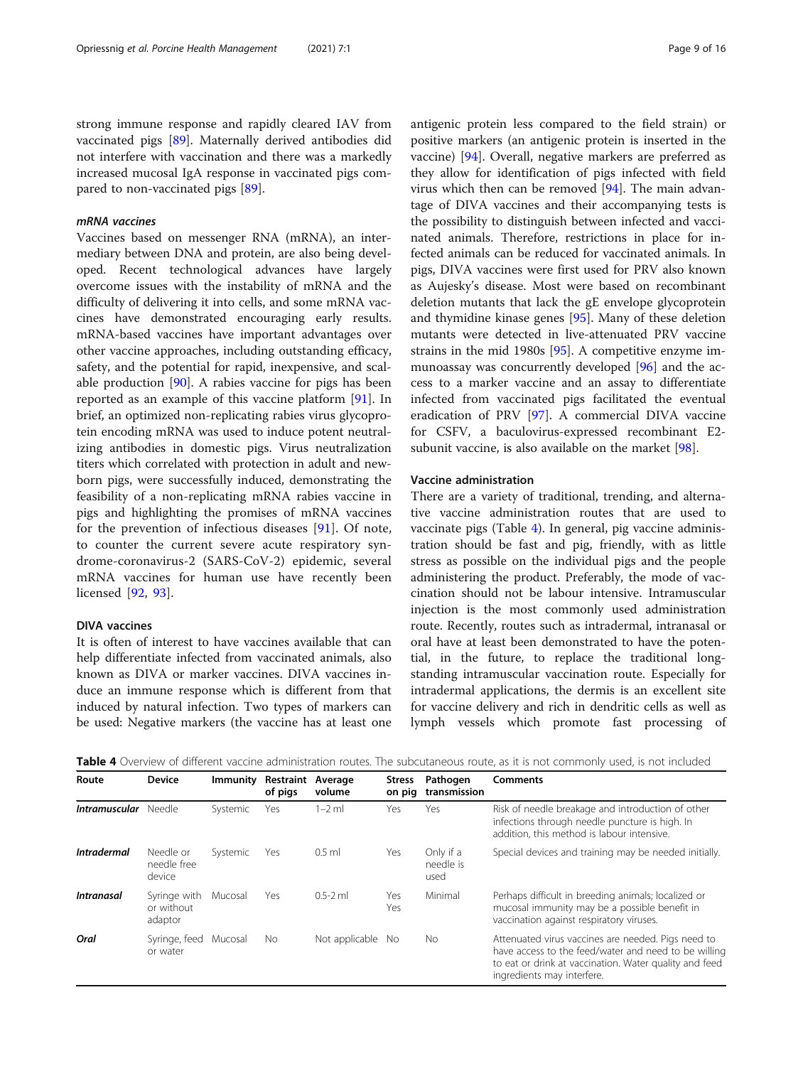strong immune response and rapidly cleared IAV from vaccinated pigs [\[89\]](#page-14-0). Maternally derived antibodies did not interfere with vaccination and there was a markedly increased mucosal IgA response in vaccinated pigs compared to non-vaccinated pigs [\[89](#page-14-0)].

# mRNA vaccines

Vaccines based on messenger RNA (mRNA), an intermediary between DNA and protein, are also being developed. Recent technological advances have largely overcome issues with the instability of mRNA and the difficulty of delivering it into cells, and some mRNA vaccines have demonstrated encouraging early results. mRNA-based vaccines have important advantages over other vaccine approaches, including outstanding efficacy, safety, and the potential for rapid, inexpensive, and scalable production [[90\]](#page-14-0). A rabies vaccine for pigs has been reported as an example of this vaccine platform [\[91\]](#page-14-0). In brief, an optimized non-replicating rabies virus glycoprotein encoding mRNA was used to induce potent neutralizing antibodies in domestic pigs. Virus neutralization titers which correlated with protection in adult and newborn pigs, were successfully induced, demonstrating the feasibility of a non-replicating mRNA rabies vaccine in pigs and highlighting the promises of mRNA vaccines for the prevention of infectious diseases [[91\]](#page-14-0). Of note, to counter the current severe acute respiratory syndrome-coronavirus-2 (SARS-CoV-2) epidemic, several mRNA vaccines for human use have recently been licensed [\[92](#page-14-0), [93](#page-14-0)].

# DIVA vaccines

It is often of interest to have vaccines available that can help differentiate infected from vaccinated animals, also known as DIVA or marker vaccines. DIVA vaccines induce an immune response which is different from that induced by natural infection. Two types of markers can be used: Negative markers (the vaccine has at least one antigenic protein less compared to the field strain) or positive markers (an antigenic protein is inserted in the vaccine) [[94\]](#page-14-0). Overall, negative markers are preferred as they allow for identification of pigs infected with field virus which then can be removed [\[94](#page-14-0)]. The main advantage of DIVA vaccines and their accompanying tests is the possibility to distinguish between infected and vaccinated animals. Therefore, restrictions in place for infected animals can be reduced for vaccinated animals. In pigs, DIVA vaccines were first used for PRV also known as Aujesky's disease. Most were based on recombinant deletion mutants that lack the gE envelope glycoprotein and thymidine kinase genes [\[95](#page-14-0)]. Many of these deletion mutants were detected in live-attenuated PRV vaccine strains in the mid 1980s [[95\]](#page-14-0). A competitive enzyme immunoassay was concurrently developed [[96\]](#page-14-0) and the access to a marker vaccine and an assay to differentiate infected from vaccinated pigs facilitated the eventual eradication of PRV [\[97](#page-14-0)]. A commercial DIVA vaccine for CSFV, a baculovirus-expressed recombinant E2- subunit vaccine, is also available on the market [\[98](#page-14-0)].

#### Vaccine administration

There are a variety of traditional, trending, and alternative vaccine administration routes that are used to vaccinate pigs (Table 4). In general, pig vaccine administration should be fast and pig, friendly, with as little stress as possible on the individual pigs and the people administering the product. Preferably, the mode of vaccination should not be labour intensive. Intramuscular injection is the most commonly used administration route. Recently, routes such as intradermal, intranasal or oral have at least been demonstrated to have the potential, in the future, to replace the traditional longstanding intramuscular vaccination route. Especially for intradermal applications, the dermis is an excellent site for vaccine delivery and rich in dendritic cells as well as lymph vessels which promote fast processing of

Table 4 Overview of different vaccine administration routes. The subcutaneous route, as it is not commonly used, is not included

| Route                | <b>Device</b>                         | <b>Immunity</b> | Restraint Average<br>of pigs | volume         | <b>Stress</b><br>on pig | Pathogen<br>transmission       | <b>Comments</b>                                                                                                                                                                                    |
|----------------------|---------------------------------------|-----------------|------------------------------|----------------|-------------------------|--------------------------------|----------------------------------------------------------------------------------------------------------------------------------------------------------------------------------------------------|
| Intramuscular Needle |                                       | Systemic        | Yes                          | $1-2$ ml       | Yes                     | Yes                            | Risk of needle breakage and introduction of other<br>infections through needle puncture is high. In<br>addition, this method is labour intensive.                                                  |
| <b>Intradermal</b>   | Needle or<br>needle free<br>device    | Systemic        | Yes                          | $0.5$ ml       | Yes                     | Only if a<br>needle is<br>used | Special devices and training may be needed initially.                                                                                                                                              |
| <b>Intranasal</b>    | Syringe with<br>or without<br>adaptor | Mucosal         | Yes                          | $0.5 - 2$ ml   | Yes<br>Yes              | Minimal                        | Perhaps difficult in breeding animals; localized or<br>mucosal immunity may be a possible benefit in<br>vaccination against respiratory viruses.                                                   |
| Oral                 | Syringe, feed<br>or water             | Mucosal         | No                           | Not applicable | No.                     | <b>No</b>                      | Attenuated virus vaccines are needed. Pigs need to<br>have access to the feed/water and need to be willing<br>to eat or drink at vaccination. Water quality and feed<br>ingredients may interfere. |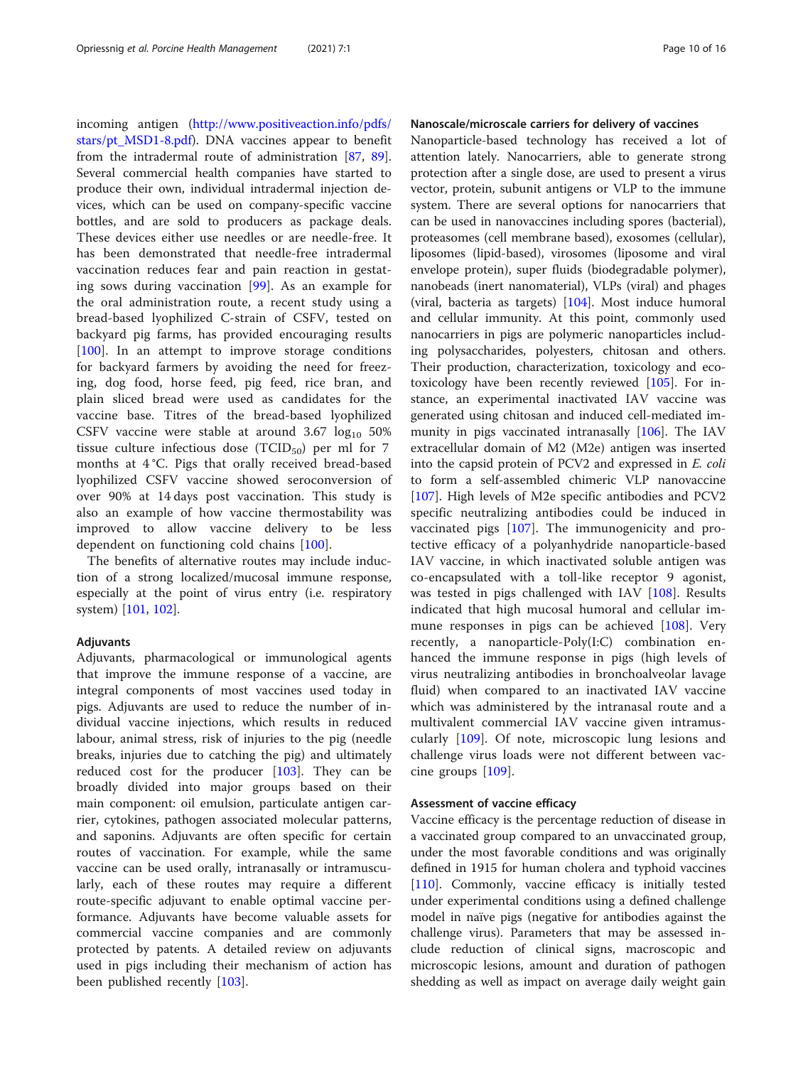incoming antigen ([http://www.positiveaction.info/pdfs/](http://www.positiveaction.info/pdfs/stars/pt_MSD1-8.pdf) [stars/pt\\_MSD1-8.pdf](http://www.positiveaction.info/pdfs/stars/pt_MSD1-8.pdf)). DNA vaccines appear to benefit from the intradermal route of administration [[87](#page-14-0), [89](#page-14-0)]. Several commercial health companies have started to produce their own, individual intradermal injection devices, which can be used on company-specific vaccine bottles, and are sold to producers as package deals. These devices either use needles or are needle-free. It has been demonstrated that needle-free intradermal vaccination reduces fear and pain reaction in gestating sows during vaccination [[99\]](#page-14-0). As an example for the oral administration route, a recent study using a bread-based lyophilized C-strain of CSFV, tested on backyard pig farms, has provided encouraging results [[100\]](#page-14-0). In an attempt to improve storage conditions for backyard farmers by avoiding the need for freezing, dog food, horse feed, pig feed, rice bran, and plain sliced bread were used as candidates for the vaccine base. Titres of the bread-based lyophilized CSFV vaccine were stable at around  $3.67 \log_{10} 50\%$ tissue culture infectious dose  $(TCID_{50})$  per ml for 7 months at 4 °C. Pigs that orally received bread-based lyophilized CSFV vaccine showed seroconversion of over 90% at 14 days post vaccination. This study is also an example of how vaccine thermostability was improved to allow vaccine delivery to be less dependent on functioning cold chains [[100\]](#page-14-0).

The benefits of alternative routes may include induction of a strong localized/mucosal immune response, especially at the point of virus entry (i.e. respiratory system) [[101](#page-14-0), [102](#page-14-0)].

#### Adjuvants

Adjuvants, pharmacological or immunological agents that improve the immune response of a vaccine, are integral components of most vaccines used today in pigs. Adjuvants are used to reduce the number of individual vaccine injections, which results in reduced labour, animal stress, risk of injuries to the pig (needle breaks, injuries due to catching the pig) and ultimately reduced cost for the producer [\[103](#page-14-0)]. They can be broadly divided into major groups based on their main component: oil emulsion, particulate antigen carrier, cytokines, pathogen associated molecular patterns, and saponins. Adjuvants are often specific for certain routes of vaccination. For example, while the same vaccine can be used orally, intranasally or intramuscularly, each of these routes may require a different route-specific adjuvant to enable optimal vaccine performance. Adjuvants have become valuable assets for commercial vaccine companies and are commonly protected by patents. A detailed review on adjuvants used in pigs including their mechanism of action has been published recently [[103\]](#page-14-0).

# Nanoscale/microscale carriers for delivery of vaccines

Nanoparticle-based technology has received a lot of attention lately. Nanocarriers, able to generate strong protection after a single dose, are used to present a virus vector, protein, subunit antigens or VLP to the immune system. There are several options for nanocarriers that can be used in nanovaccines including spores (bacterial), proteasomes (cell membrane based), exosomes (cellular), liposomes (lipid-based), virosomes (liposome and viral envelope protein), super fluids (biodegradable polymer), nanobeads (inert nanomaterial), VLPs (viral) and phages (viral, bacteria as targets)  $[104]$  $[104]$ . Most induce humoral and cellular immunity. At this point, commonly used nanocarriers in pigs are polymeric nanoparticles including polysaccharides, polyesters, chitosan and others. Their production, characterization, toxicology and ecotoxicology have been recently reviewed [[105](#page-14-0)]. For instance, an experimental inactivated IAV vaccine was generated using chitosan and induced cell-mediated immunity in pigs vaccinated intranasally [\[106](#page-14-0)]. The IAV extracellular domain of M2 (M2e) antigen was inserted into the capsid protein of PCV2 and expressed in E. coli to form a self-assembled chimeric VLP nanovaccine [[107\]](#page-14-0). High levels of M2e specific antibodies and PCV2 specific neutralizing antibodies could be induced in vaccinated pigs [\[107](#page-14-0)]. The immunogenicity and protective efficacy of a polyanhydride nanoparticle-based IAV vaccine, in which inactivated soluble antigen was co-encapsulated with a toll-like receptor 9 agonist, was tested in pigs challenged with IAV [[108](#page-14-0)]. Results indicated that high mucosal humoral and cellular immune responses in pigs can be achieved [\[108](#page-14-0)]. Very recently, a nanoparticle-Poly(I:C) combination enhanced the immune response in pigs (high levels of virus neutralizing antibodies in bronchoalveolar lavage fluid) when compared to an inactivated IAV vaccine which was administered by the intranasal route and a multivalent commercial IAV vaccine given intramuscularly [\[109](#page-14-0)]. Of note, microscopic lung lesions and challenge virus loads were not different between vaccine groups [\[109](#page-14-0)].

#### Assessment of vaccine efficacy

Vaccine efficacy is the percentage reduction of disease in a vaccinated group compared to an unvaccinated group, under the most favorable conditions and was originally defined in 1915 for human cholera and typhoid vaccines [[110\]](#page-14-0). Commonly, vaccine efficacy is initially tested under experimental conditions using a defined challenge model in naïve pigs (negative for antibodies against the challenge virus). Parameters that may be assessed include reduction of clinical signs, macroscopic and microscopic lesions, amount and duration of pathogen shedding as well as impact on average daily weight gain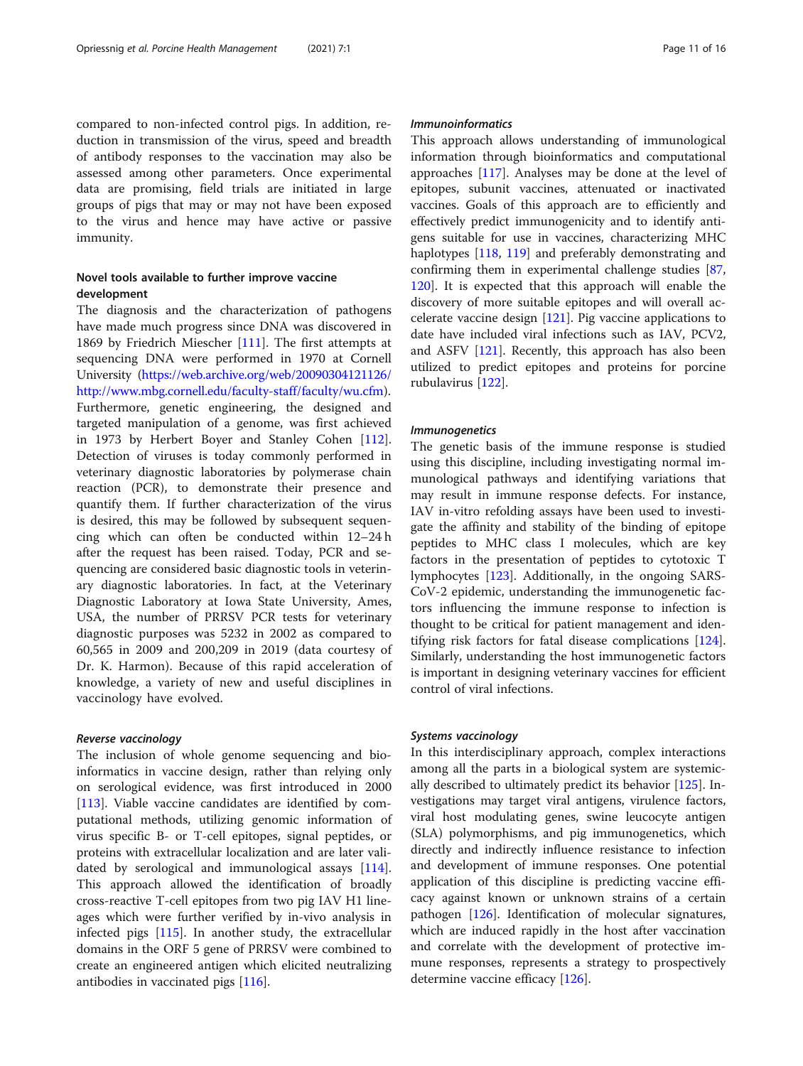compared to non-infected control pigs. In addition, reduction in transmission of the virus, speed and breadth of antibody responses to the vaccination may also be assessed among other parameters. Once experimental data are promising, field trials are initiated in large groups of pigs that may or may not have been exposed to the virus and hence may have active or passive immunity.

# Novel tools available to further improve vaccine development

The diagnosis and the characterization of pathogens have made much progress since DNA was discovered in 1869 by Friedrich Miescher [\[111](#page-14-0)]. The first attempts at sequencing DNA were performed in 1970 at Cornell University [\(https://web.archive.org/web/20090304121126/](https://web.archive.org/web/20090304121126/http://www.mbg.cornell.edu/faculty-staff/faculty/wu.cfm) [http://www.mbg.cornell.edu/faculty-staff/faculty/wu.cfm\)](https://web.archive.org/web/20090304121126/http://www.mbg.cornell.edu/faculty-staff/faculty/wu.cfm). Furthermore, genetic engineering, the designed and targeted manipulation of a genome, was first achieved in 1973 by Herbert Boyer and Stanley Cohen [\[112](#page-14-0)]. Detection of viruses is today commonly performed in veterinary diagnostic laboratories by polymerase chain reaction (PCR), to demonstrate their presence and quantify them. If further characterization of the virus is desired, this may be followed by subsequent sequencing which can often be conducted within 12–24 h after the request has been raised. Today, PCR and sequencing are considered basic diagnostic tools in veterinary diagnostic laboratories. In fact, at the Veterinary Diagnostic Laboratory at Iowa State University, Ames, USA, the number of PRRSV PCR tests for veterinary diagnostic purposes was 5232 in 2002 as compared to 60,565 in 2009 and 200,209 in 2019 (data courtesy of Dr. K. Harmon). Because of this rapid acceleration of knowledge, a variety of new and useful disciplines in vaccinology have evolved.

#### Reverse vaccinology

The inclusion of whole genome sequencing and bioinformatics in vaccine design, rather than relying only on serological evidence, was first introduced in 2000 [[113\]](#page-14-0). Viable vaccine candidates are identified by computational methods, utilizing genomic information of virus specific B- or T-cell epitopes, signal peptides, or proteins with extracellular localization and are later validated by serological and immunological assays [\[114](#page-14-0)]. This approach allowed the identification of broadly cross-reactive T-cell epitopes from two pig IAV H1 lineages which were further verified by in-vivo analysis in infected pigs [\[115](#page-14-0)]. In another study, the extracellular domains in the ORF 5 gene of PRRSV were combined to create an engineered antigen which elicited neutralizing antibodies in vaccinated pigs [\[116](#page-15-0)].

## Immunoinformatics

This approach allows understanding of immunological information through bioinformatics and computational approaches [[117](#page-15-0)]. Analyses may be done at the level of epitopes, subunit vaccines, attenuated or inactivated vaccines. Goals of this approach are to efficiently and effectively predict immunogenicity and to identify antigens suitable for use in vaccines, characterizing MHC haplotypes [\[118,](#page-15-0) [119\]](#page-15-0) and preferably demonstrating and confirming them in experimental challenge studies [[87](#page-14-0), [120](#page-15-0)]. It is expected that this approach will enable the discovery of more suitable epitopes and will overall accelerate vaccine design [\[121](#page-15-0)]. Pig vaccine applications to date have included viral infections such as IAV, PCV2, and ASFV  $[121]$ . Recently, this approach has also been utilized to predict epitopes and proteins for porcine rubulavirus [\[122\]](#page-15-0).

#### Immunogenetics

The genetic basis of the immune response is studied using this discipline, including investigating normal immunological pathways and identifying variations that may result in immune response defects. For instance, IAV in-vitro refolding assays have been used to investigate the affinity and stability of the binding of epitope peptides to MHC class I molecules, which are key factors in the presentation of peptides to cytotoxic T lymphocytes [\[123](#page-15-0)]. Additionally, in the ongoing SARS-CoV-2 epidemic, understanding the immunogenetic factors influencing the immune response to infection is thought to be critical for patient management and identifying risk factors for fatal disease complications [[124](#page-15-0)]. Similarly, understanding the host immunogenetic factors is important in designing veterinary vaccines for efficient control of viral infections.

#### Systems vaccinology

In this interdisciplinary approach, complex interactions among all the parts in a biological system are systemically described to ultimately predict its behavior [\[125](#page-15-0)]. Investigations may target viral antigens, virulence factors, viral host modulating genes, swine leucocyte antigen (SLA) polymorphisms, and pig immunogenetics, which directly and indirectly influence resistance to infection and development of immune responses. One potential application of this discipline is predicting vaccine efficacy against known or unknown strains of a certain pathogen [[126\]](#page-15-0). Identification of molecular signatures, which are induced rapidly in the host after vaccination and correlate with the development of protective immune responses, represents a strategy to prospectively determine vaccine efficacy [\[126](#page-15-0)].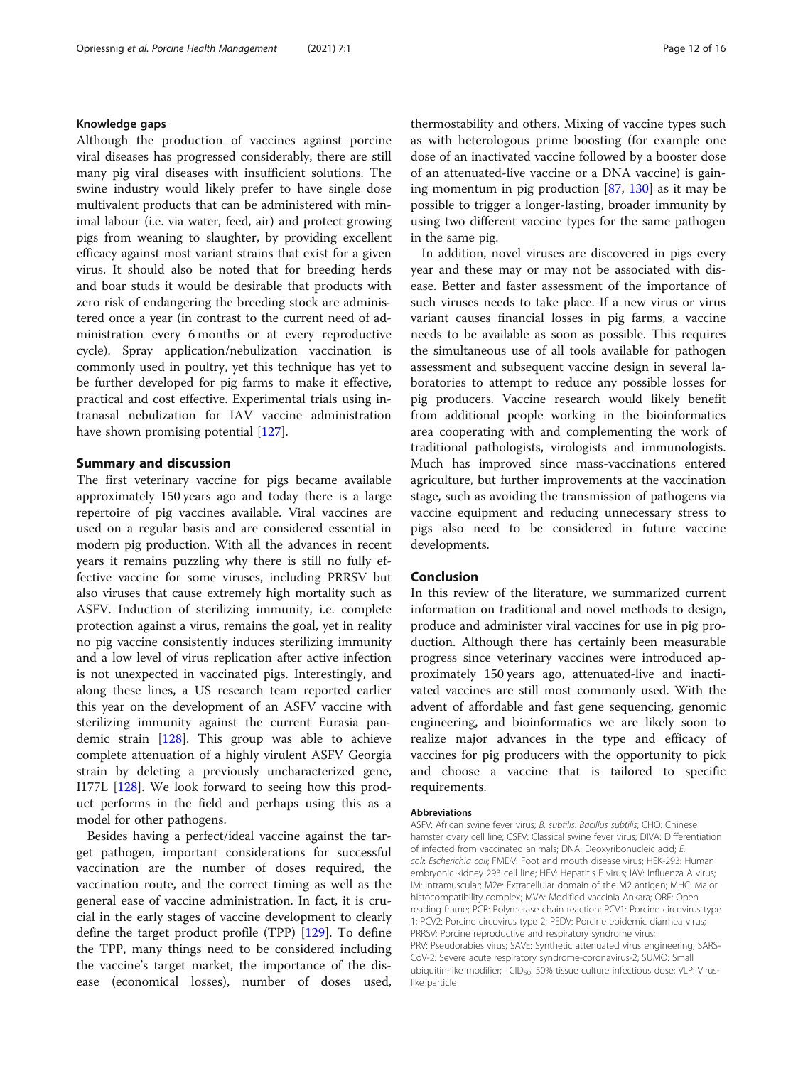#### Knowledge gaps

Although the production of vaccines against porcine viral diseases has progressed considerably, there are still many pig viral diseases with insufficient solutions. The swine industry would likely prefer to have single dose multivalent products that can be administered with minimal labour (i.e. via water, feed, air) and protect growing pigs from weaning to slaughter, by providing excellent efficacy against most variant strains that exist for a given virus. It should also be noted that for breeding herds and boar studs it would be desirable that products with zero risk of endangering the breeding stock are administered once a year (in contrast to the current need of administration every 6 months or at every reproductive cycle). Spray application/nebulization vaccination is commonly used in poultry, yet this technique has yet to be further developed for pig farms to make it effective, practical and cost effective. Experimental trials using intranasal nebulization for IAV vaccine administration have shown promising potential [[127\]](#page-15-0).

# Summary and discussion

The first veterinary vaccine for pigs became available approximately 150 years ago and today there is a large repertoire of pig vaccines available. Viral vaccines are used on a regular basis and are considered essential in modern pig production. With all the advances in recent years it remains puzzling why there is still no fully effective vaccine for some viruses, including PRRSV but also viruses that cause extremely high mortality such as ASFV. Induction of sterilizing immunity, i.e. complete protection against a virus, remains the goal, yet in reality no pig vaccine consistently induces sterilizing immunity and a low level of virus replication after active infection is not unexpected in vaccinated pigs. Interestingly, and along these lines, a US research team reported earlier this year on the development of an ASFV vaccine with sterilizing immunity against the current Eurasia pandemic strain [\[128](#page-15-0)]. This group was able to achieve complete attenuation of a highly virulent ASFV Georgia strain by deleting a previously uncharacterized gene, I177L [\[128\]](#page-15-0). We look forward to seeing how this product performs in the field and perhaps using this as a model for other pathogens.

Besides having a perfect/ideal vaccine against the target pathogen, important considerations for successful vaccination are the number of doses required, the vaccination route, and the correct timing as well as the general ease of vaccine administration. In fact, it is crucial in the early stages of vaccine development to clearly define the target product profile (TPP) [\[129](#page-15-0)]. To define the TPP, many things need to be considered including the vaccine's target market, the importance of the disease (economical losses), number of doses used,

thermostability and others. Mixing of vaccine types such as with heterologous prime boosting (for example one dose of an inactivated vaccine followed by a booster dose of an attenuated-live vaccine or a DNA vaccine) is gaining momentum in pig production  $[87, 130]$  $[87, 130]$  $[87, 130]$  $[87, 130]$  as it may be possible to trigger a longer-lasting, broader immunity by using two different vaccine types for the same pathogen in the same pig.

In addition, novel viruses are discovered in pigs every year and these may or may not be associated with disease. Better and faster assessment of the importance of such viruses needs to take place. If a new virus or virus variant causes financial losses in pig farms, a vaccine needs to be available as soon as possible. This requires the simultaneous use of all tools available for pathogen assessment and subsequent vaccine design in several laboratories to attempt to reduce any possible losses for pig producers. Vaccine research would likely benefit from additional people working in the bioinformatics area cooperating with and complementing the work of traditional pathologists, virologists and immunologists. Much has improved since mass-vaccinations entered agriculture, but further improvements at the vaccination stage, such as avoiding the transmission of pathogens via vaccine equipment and reducing unnecessary stress to pigs also need to be considered in future vaccine developments.

# Conclusion

In this review of the literature, we summarized current information on traditional and novel methods to design, produce and administer viral vaccines for use in pig production. Although there has certainly been measurable progress since veterinary vaccines were introduced approximately 150 years ago, attenuated-live and inactivated vaccines are still most commonly used. With the advent of affordable and fast gene sequencing, genomic engineering, and bioinformatics we are likely soon to realize major advances in the type and efficacy of vaccines for pig producers with the opportunity to pick and choose a vaccine that is tailored to specific requirements.

#### Abbreviations

ASFV: African swine fever virus; B. subtilis: Bacillus subtilis; CHO: Chinese hamster ovary cell line; CSFV: Classical swine fever virus; DIVA: Differentiation of infected from vaccinated animals; DNA: Deoxyribonucleic acid; E. coli: Escherichia coli; FMDV: Foot and mouth disease virus; HEK-293: Human embryonic kidney 293 cell line; HEV: Hepatitis E virus; IAV: Influenza A virus; IM: Intramuscular; M2e: Extracellular domain of the M2 antigen; MHC: Major histocompatibility complex; MVA: Modified vaccinia Ankara; ORF: Open reading frame; PCR: Polymerase chain reaction; PCV1: Porcine circovirus type 1; PCV2: Porcine circovirus type 2; PEDV: Porcine epidemic diarrhea virus; PRRSV: Porcine reproductive and respiratory syndrome virus; PRV: Pseudorabies virus; SAVE: Synthetic attenuated virus engineering; SARS-CoV-2: Severe acute respiratory syndrome-coronavirus-2; SUMO: Small ubiquitin-like modifier; TCID<sub>50</sub>: 50% tissue culture infectious dose; VLP: Viruslike particle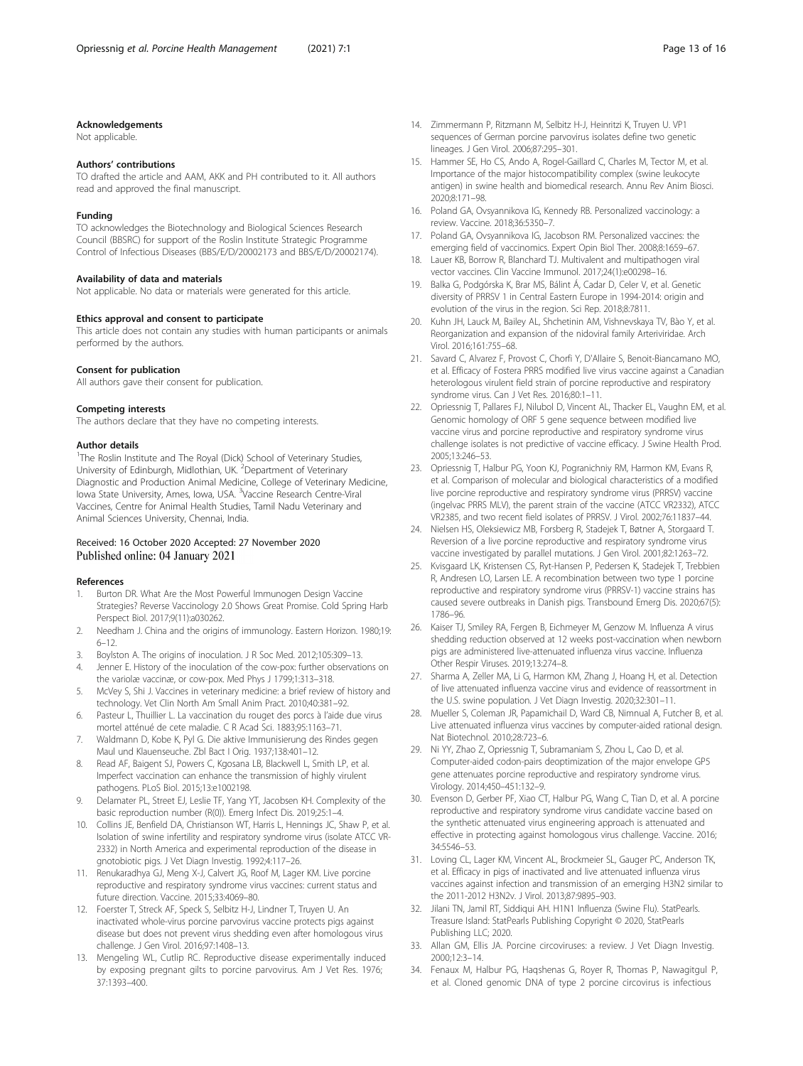#### <span id="page-12-0"></span>Acknowledgements

Not applicable.

#### Authors' contributions

TO drafted the article and AAM, AKK and PH contributed to it. All authors read and approved the final manuscript.

#### Funding

TO acknowledges the Biotechnology and Biological Sciences Research Council (BBSRC) for support of the Roslin Institute Strategic Programme Control of Infectious Diseases (BBS/E/D/20002173 and BBS/E/D/20002174).

#### Availability of data and materials

Not applicable. No data or materials were generated for this article.

#### Ethics approval and consent to participate

This article does not contain any studies with human participants or animals performed by the authors.

#### Consent for publication

All authors gave their consent for publication.

#### Competing interests

The authors declare that they have no competing interests.

#### Author details

<sup>1</sup>The Roslin Institute and The Royal (Dick) School of Veterinary Studies, University of Edinburgh, Midlothian, UK. <sup>2</sup>Department of Veterinary Diagnostic and Production Animal Medicine, College of Veterinary Medicine, lowa State University, Ames, Iowa, USA. <sup>3</sup>Vaccine Research Centre-Viral Vaccines, Centre for Animal Health Studies, Tamil Nadu Veterinary and Animal Sciences University, Chennai, India.

#### Received: 16 October 2020 Accepted: 27 November 2020 Published online: 04 January 2021

#### References

- 1. Burton DR. What Are the Most Powerful Immunogen Design Vaccine Strategies? Reverse Vaccinology 2.0 Shows Great Promise. Cold Spring Harb Perspect Biol. 2017;9(11):a030262.
- 2. Needham J. China and the origins of immunology. Eastern Horizon. 1980;19: 6–12.
- 3. Boylston A. The origins of inoculation. J R Soc Med. 2012;105:309–13.
- 4. Jenner E. History of the inoculation of the cow-pox: further observations on the variolæ vaccinæ, or cow-pox. Med Phys J 1799;1:313–318.
- 5. McVey S, Shi J. Vaccines in veterinary medicine: a brief review of history and technology. Vet Clin North Am Small Anim Pract. 2010;40:381–92.
- 6. Pasteur L, Thuillier L. La vaccination du rouget des porcs à l'aide due virus mortel atténué de cete maladie. C R Acad Sci. 1883;95:1163–71.
- 7. Waldmann D, Kobe K, Pyl G. Die aktive Immunisierung des Rindes gegen Maul und Klauenseuche. Zbl Bact I Orig. 1937;138:401–12.
- Read AF, Baigent SJ, Powers C, Kgosana LB, Blackwell L, Smith LP, et al. Imperfect vaccination can enhance the transmission of highly virulent pathogens. PLoS Biol. 2015;13:e1002198.
- 9. Delamater PL, Street EJ, Leslie TF, Yang YT, Jacobsen KH. Complexity of the basic reproduction number (R(0)). Emerg Infect Dis. 2019;25:1–4.
- 10. Collins JE, Benfield DA, Christianson WT, Harris L, Hennings JC, Shaw P, et al. Isolation of swine infertility and respiratory syndrome virus (isolate ATCC VR-2332) in North America and experimental reproduction of the disease in gnotobiotic pigs. J Vet Diagn Investig. 1992;4:117–26.
- 11. Renukaradhya GJ, Meng X-J, Calvert JG, Roof M, Lager KM. Live porcine reproductive and respiratory syndrome virus vaccines: current status and future direction. Vaccine. 2015;33:4069–80.
- 12. Foerster T, Streck AF, Speck S, Selbitz H-J, Lindner T, Truyen U. An inactivated whole-virus porcine parvovirus vaccine protects pigs against disease but does not prevent virus shedding even after homologous virus challenge. J Gen Virol. 2016;97:1408–13.
- 13. Mengeling WL, Cutlip RC. Reproductive disease experimentally induced by exposing pregnant gilts to porcine parvovirus. Am J Vet Res. 1976; 37:1393–400.
- 14. Zimmermann P, Ritzmann M, Selbitz H-J, Heinritzi K, Truyen U. VP1 sequences of German porcine parvovirus isolates define two genetic lineages. J Gen Virol. 2006;87:295–301.
- 15. Hammer SE, Ho CS, Ando A, Rogel-Gaillard C, Charles M, Tector M, et al. Importance of the major histocompatibility complex (swine leukocyte antigen) in swine health and biomedical research. Annu Rev Anim Biosci. 2020;8:171–98.
- 16. Poland GA, Ovsyannikova IG, Kennedy RB. Personalized vaccinology: a review. Vaccine. 2018;36:5350–7.
- 17. Poland GA, Ovsyannikova IG, Jacobson RM. Personalized vaccines: the emerging field of vaccinomics. Expert Opin Biol Ther. 2008;8:1659–67.
- 18. Lauer KB, Borrow R, Blanchard TJ. Multivalent and multipathogen viral vector vaccines. Clin Vaccine Immunol. 2017;24(1):e00298–16.
- 19. Balka G, Podgórska K, Brar MS, Bálint Á, Cadar D, Celer V, et al. Genetic diversity of PRRSV 1 in Central Eastern Europe in 1994-2014: origin and evolution of the virus in the region. Sci Rep. 2018;8:7811.
- 20. Kuhn JH, Lauck M, Bailey AL, Shchetinin AM, Vishnevskaya TV, Bào Y, et al. Reorganization and expansion of the nidoviral family Arteriviridae. Arch Virol. 2016;161:755–68.
- 21. Savard C, Alvarez F, Provost C, Chorfi Y, D'Allaire S, Benoit-Biancamano MO, et al. Efficacy of Fostera PRRS modified live virus vaccine against a Canadian heterologous virulent field strain of porcine reproductive and respiratory syndrome virus. Can J Vet Res. 2016;80:1–11.
- 22. Opriessnig T, Pallares FJ, Nilubol D, Vincent AL, Thacker EL, Vaughn EM, et al. Genomic homology of ORF 5 gene sequence between modified live vaccine virus and porcine reproductive and respiratory syndrome virus challenge isolates is not predictive of vaccine efficacy. J Swine Health Prod. 2005;13:246–53.
- 23. Opriessnig T, Halbur PG, Yoon KJ, Pogranichniy RM, Harmon KM, Evans R, et al. Comparison of molecular and biological characteristics of a modified live porcine reproductive and respiratory syndrome virus (PRRSV) vaccine (ingelvac PRRS MLV), the parent strain of the vaccine (ATCC VR2332), ATCC VR2385, and two recent field isolates of PRRSV. J Virol. 2002;76:11837–44.
- 24. Nielsen HS, Oleksiewicz MB, Forsberg R, Stadejek T, Bøtner A, Storgaard T. Reversion of a live porcine reproductive and respiratory syndrome virus vaccine investigated by parallel mutations. J Gen Virol. 2001;82:1263–72.
- 25. Kvisgaard LK, Kristensen CS, Ryt-Hansen P, Pedersen K, Stadejek T, Trebbien R, Andresen LO, Larsen LE. A recombination between two type 1 porcine reproductive and respiratory syndrome virus (PRRSV-1) vaccine strains has caused severe outbreaks in Danish pigs. Transbound Emerg Dis. 2020;67(5): 1786–96.
- 26. Kaiser TJ, Smiley RA, Fergen B, Eichmeyer M, Genzow M. Influenza A virus shedding reduction observed at 12 weeks post-vaccination when newborn pigs are administered live-attenuated influenza virus vaccine. Influenza Other Respir Viruses. 2019;13:274–8.
- 27. Sharma A, Zeller MA, Li G, Harmon KM, Zhang J, Hoang H, et al. Detection of live attenuated influenza vaccine virus and evidence of reassortment in the U.S. swine population. J Vet Diagn Investig. 2020;32:301–11.
- 28. Mueller S, Coleman JR, Papamichail D, Ward CB, Nimnual A, Futcher B, et al. Live attenuated influenza virus vaccines by computer-aided rational design. Nat Biotechnol. 2010;28:723–6.
- 29. Ni YY, Zhao Z, Opriessnig T, Subramaniam S, Zhou L, Cao D, et al. Computer-aided codon-pairs deoptimization of the major envelope GP5 gene attenuates porcine reproductive and respiratory syndrome virus. Virology. 2014;450–451:132–9.
- 30. Evenson D, Gerber PF, Xiao CT, Halbur PG, Wang C, Tian D, et al. A porcine reproductive and respiratory syndrome virus candidate vaccine based on the synthetic attenuated virus engineering approach is attenuated and effective in protecting against homologous virus challenge. Vaccine. 2016; 34:5546–53.
- 31. Loving CL, Lager KM, Vincent AL, Brockmeier SL, Gauger PC, Anderson TK, et al. Efficacy in pigs of inactivated and live attenuated influenza virus vaccines against infection and transmission of an emerging H3N2 similar to the 2011-2012 H3N2v. J Virol. 2013;87:9895–903.
- 32. Jilani TN, Jamil RT, Siddiqui AH. H1N1 Influenza (Swine Flu). StatPearls. Treasure Island: StatPearls Publishing Copyright © 2020, StatPearls Publishing LLC; 2020.
- 33. Allan GM, Ellis JA. Porcine circoviruses: a review. J Vet Diagn Investig. 2000;12:3–14.
- 34. Fenaux M, Halbur PG, Haqshenas G, Royer R, Thomas P, Nawagitgul P, et al. Cloned genomic DNA of type 2 porcine circovirus is infectious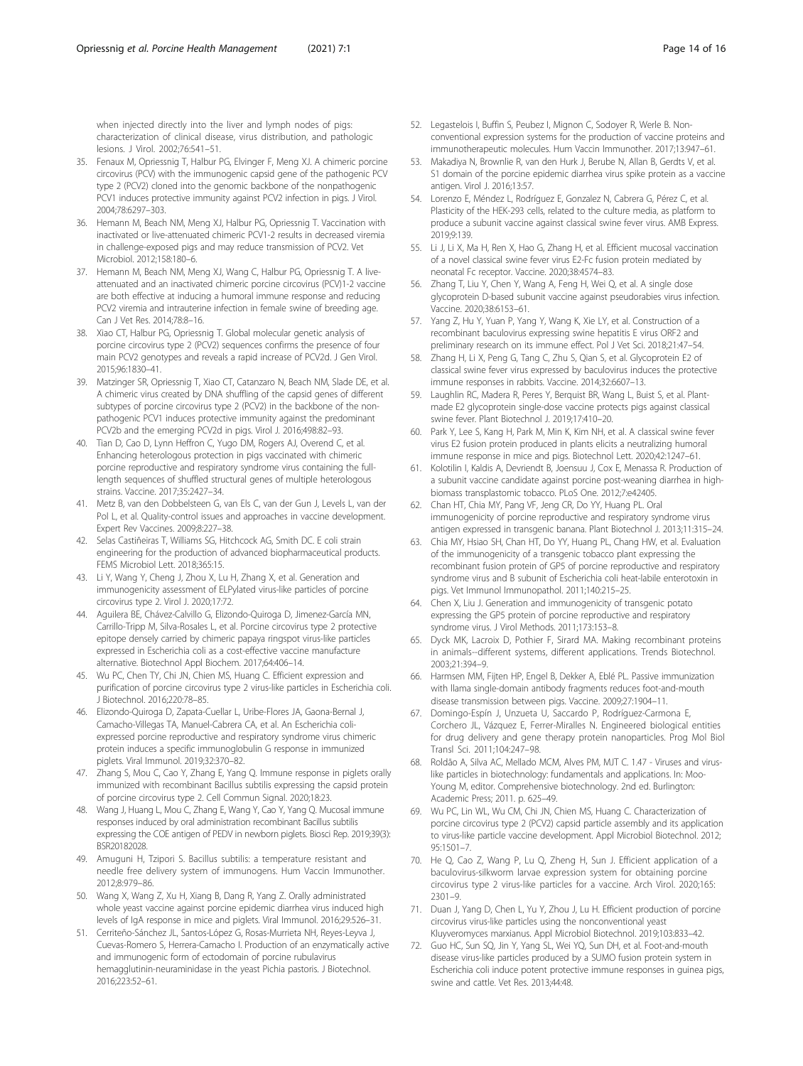<span id="page-13-0"></span>when injected directly into the liver and lymph nodes of pigs: characterization of clinical disease, virus distribution, and pathologic lesions. J Virol. 2002;76:541–51.

- 35. Fenaux M, Opriessnig T, Halbur PG, Elvinger F, Meng XJ. A chimeric porcine circovirus (PCV) with the immunogenic capsid gene of the pathogenic PCV type 2 (PCV2) cloned into the genomic backbone of the nonpathogenic PCV1 induces protective immunity against PCV2 infection in pigs. J Virol. 2004;78:6297–303.
- 36. Hemann M, Beach NM, Meng XJ, Halbur PG, Opriessnig T. Vaccination with inactivated or live-attenuated chimeric PCV1-2 results in decreased viremia in challenge-exposed pigs and may reduce transmission of PCV2. Vet Microbiol. 2012;158:180–6.
- 37. Hemann M, Beach NM, Meng XJ, Wang C, Halbur PG, Opriessnig T. A liveattenuated and an inactivated chimeric porcine circovirus (PCV)1-2 vaccine are both effective at inducing a humoral immune response and reducing PCV2 viremia and intrauterine infection in female swine of breeding age. Can J Vet Res. 2014;78:8–16.
- 38. Xiao CT, Halbur PG, Opriessnig T. Global molecular genetic analysis of porcine circovirus type 2 (PCV2) sequences confirms the presence of four main PCV2 genotypes and reveals a rapid increase of PCV2d. J Gen Virol. 2015;96:1830–41.
- 39. Matzinger SR, Opriessnig T, Xiao CT, Catanzaro N, Beach NM, Slade DE, et al. A chimeric virus created by DNA shuffling of the capsid genes of different subtypes of porcine circovirus type 2 (PCV2) in the backbone of the nonpathogenic PCV1 induces protective immunity against the predominant PCV2b and the emerging PCV2d in pigs. Virol J. 2016;498:82–93.
- 40. Tian D, Cao D, Lynn Heffron C, Yugo DM, Rogers AJ, Overend C, et al. Enhancing heterologous protection in pigs vaccinated with chimeric porcine reproductive and respiratory syndrome virus containing the fulllength sequences of shuffled structural genes of multiple heterologous strains. Vaccine. 2017;35:2427–34.
- 41. Metz B, van den Dobbelsteen G, van Els C, van der Gun J, Levels L, van der Pol L, et al. Quality-control issues and approaches in vaccine development. Expert Rev Vaccines. 2009;8:227–38.
- 42. Selas Castiñeiras T, Williams SG, Hitchcock AG, Smith DC. E coli strain engineering for the production of advanced biopharmaceutical products. FEMS Microbiol Lett. 2018;365:15.
- 43. Li Y, Wang Y, Cheng J, Zhou X, Lu H, Zhang X, et al. Generation and immunogenicity assessment of ELPylated virus-like particles of porcine circovirus type 2. Virol J. 2020;17:72.
- 44. Aguilera BE, Chávez-Calvillo G, Elizondo-Quiroga D, Jimenez-García MN, Carrillo-Tripp M, Silva-Rosales L, et al. Porcine circovirus type 2 protective epitope densely carried by chimeric papaya ringspot virus-like particles expressed in Escherichia coli as a cost-effective vaccine manufacture alternative. Biotechnol Appl Biochem. 2017;64:406–14.
- 45. Wu PC, Chen TY, Chi JN, Chien MS, Huang C. Efficient expression and purification of porcine circovirus type 2 virus-like particles in Escherichia coli. J Biotechnol. 2016;220:78–85.
- 46. Elizondo-Quiroga D, Zapata-Cuellar L, Uribe-Flores JA, Gaona-Bernal J, Camacho-Villegas TA, Manuel-Cabrera CA, et al. An Escherichia coliexpressed porcine reproductive and respiratory syndrome virus chimeric protein induces a specific immunoglobulin G response in immunized piglets. Viral Immunol. 2019;32:370–82.
- 47. Zhang S, Mou C, Cao Y, Zhang E, Yang Q. Immune response in piglets orally immunized with recombinant Bacillus subtilis expressing the capsid protein of porcine circovirus type 2. Cell Commun Signal. 2020;18:23.
- Wang J, Huang L, Mou C, Zhang E, Wang Y, Cao Y, Yang Q. Mucosal immune responses induced by oral administration recombinant Bacillus subtilis expressing the COE antigen of PEDV in newborn piglets. Biosci Rep. 2019;39(3): BSR20182028.
- 49. Amuguni H, Tzipori S. Bacillus subtilis: a temperature resistant and needle free delivery system of immunogens. Hum Vaccin Immunother. 2012;8:979–86.
- 50. Wang X, Wang Z, Xu H, Xiang B, Dang R, Yang Z. Orally administrated whole yeast vaccine against porcine epidemic diarrhea virus induced high levels of IgA response in mice and piglets. Viral Immunol. 2016;29:526–31.
- 51. Cerriteño-Sánchez JL, Santos-López G, Rosas-Murrieta NH, Reyes-Leyva J, Cuevas-Romero S, Herrera-Camacho I. Production of an enzymatically active and immunogenic form of ectodomain of porcine rubulavirus hemagglutinin-neuraminidase in the yeast Pichia pastoris. J Biotechnol. 2016;223:52–61.
- 52. Legastelois I, Buffin S, Peubez I, Mignon C, Sodoyer R, Werle B. Nonconventional expression systems for the production of vaccine proteins and immunotherapeutic molecules. Hum Vaccin Immunother. 2017;13:947–61.
- 53. Makadiya N, Brownlie R, van den Hurk J, Berube N, Allan B, Gerdts V, et al. S1 domain of the porcine epidemic diarrhea virus spike protein as a vaccine antigen. Virol J. 2016;13:57.
- 54. Lorenzo E, Méndez L, Rodríguez E, Gonzalez N, Cabrera G, Pérez C, et al. Plasticity of the HEK-293 cells, related to the culture media, as platform to produce a subunit vaccine against classical swine fever virus. AMB Express. 2019;9:139.
- 55. Li J, Li X, Ma H, Ren X, Hao G, Zhang H, et al. Efficient mucosal vaccination of a novel classical swine fever virus E2-Fc fusion protein mediated by neonatal Fc receptor. Vaccine. 2020;38:4574–83.
- 56. Zhang T, Liu Y, Chen Y, Wang A, Feng H, Wei Q, et al. A single dose glycoprotein D-based subunit vaccine against pseudorabies virus infection. Vaccine. 2020;38:6153–61.
- 57. Yang Z, Hu Y, Yuan P, Yang Y, Wang K, Xie LY, et al. Construction of a recombinant baculovirus expressing swine hepatitis E virus ORF2 and preliminary research on its immune effect. Pol J Vet Sci. 2018;21:47–54.
- 58. Zhang H, Li X, Peng G, Tang C, Zhu S, Qian S, et al. Glycoprotein E2 of classical swine fever virus expressed by baculovirus induces the protective immune responses in rabbits. Vaccine. 2014;32:6607–13.
- 59. Laughlin RC, Madera R, Peres Y, Berquist BR, Wang L, Buist S, et al. Plantmade E2 glycoprotein single-dose vaccine protects pigs against classical swine fever. Plant Biotechnol J. 2019;17:410–20.
- 60. Park Y, Lee S, Kang H, Park M, Min K, Kim NH, et al. A classical swine fever virus E2 fusion protein produced in plants elicits a neutralizing humoral immune response in mice and pigs. Biotechnol Lett. 2020;42:1247–61.
- 61. Kolotilin I, Kaldis A, Devriendt B, Joensuu J, Cox E, Menassa R. Production of a subunit vaccine candidate against porcine post-weaning diarrhea in highbiomass transplastomic tobacco. PLoS One. 2012;7:e42405.
- 62. Chan HT, Chia MY, Pang VF, Jeng CR, Do YY, Huang PL. Oral immunogenicity of porcine reproductive and respiratory syndrome virus antigen expressed in transgenic banana. Plant Biotechnol J. 2013;11:315–24.
- 63. Chia MY, Hsiao SH, Chan HT, Do YY, Huang PL, Chang HW, et al. Evaluation of the immunogenicity of a transgenic tobacco plant expressing the recombinant fusion protein of GP5 of porcine reproductive and respiratory syndrome virus and B subunit of Escherichia coli heat-labile enterotoxin in pigs. Vet Immunol Immunopathol. 2011;140:215–25.
- 64. Chen X, Liu J. Generation and immunogenicity of transgenic potato expressing the GP5 protein of porcine reproductive and respiratory syndrome virus. J Virol Methods. 2011;173:153–8.
- 65. Dyck MK, Lacroix D, Pothier F, Sirard MA. Making recombinant proteins in animals--different systems, different applications. Trends Biotechnol. 2003;21:394–9.
- 66. Harmsen MM, Fijten HP, Engel B, Dekker A, Eblé PL. Passive immunization with llama single-domain antibody fragments reduces foot-and-mouth disease transmission between pigs. Vaccine. 2009;27:1904–11.
- 67. Domingo-Espín J, Unzueta U, Saccardo P, Rodríguez-Carmona E, Corchero JL, Vázquez E, Ferrer-Miralles N. Engineered biological entities for drug delivery and gene therapy protein nanoparticles. Prog Mol Biol Transl Sci. 2011;104:247–98.
- 68. Roldão A, Silva AC, Mellado MCM, Alves PM, MJT C. 1.47 Viruses and viruslike particles in biotechnology: fundamentals and applications. In: Moo-Young M, editor. Comprehensive biotechnology. 2nd ed. Burlington: Academic Press; 2011. p. 625–49.
- 69. Wu PC, Lin WL, Wu CM, Chi JN, Chien MS, Huang C. Characterization of porcine circovirus type 2 (PCV2) capsid particle assembly and its application to virus-like particle vaccine development. Appl Microbiol Biotechnol. 2012; 95:1501–7.
- 70. He Q, Cao Z, Wang P, Lu Q, Zheng H, Sun J. Efficient application of a baculovirus-silkworm larvae expression system for obtaining porcine circovirus type 2 virus-like particles for a vaccine. Arch Virol. 2020;165: 2301–9.
- 71. Duan J, Yang D, Chen L, Yu Y, Zhou J, Lu H. Efficient production of porcine circovirus virus-like particles using the nonconventional yeast Kluyveromyces marxianus. Appl Microbiol Biotechnol. 2019;103:833–42.
- 72. Guo HC, Sun SQ, Jin Y, Yang SL, Wei YQ, Sun DH, et al. Foot-and-mouth disease virus-like particles produced by a SUMO fusion protein system in Escherichia coli induce potent protective immune responses in guinea pigs, swine and cattle. Vet Res. 2013;44:48.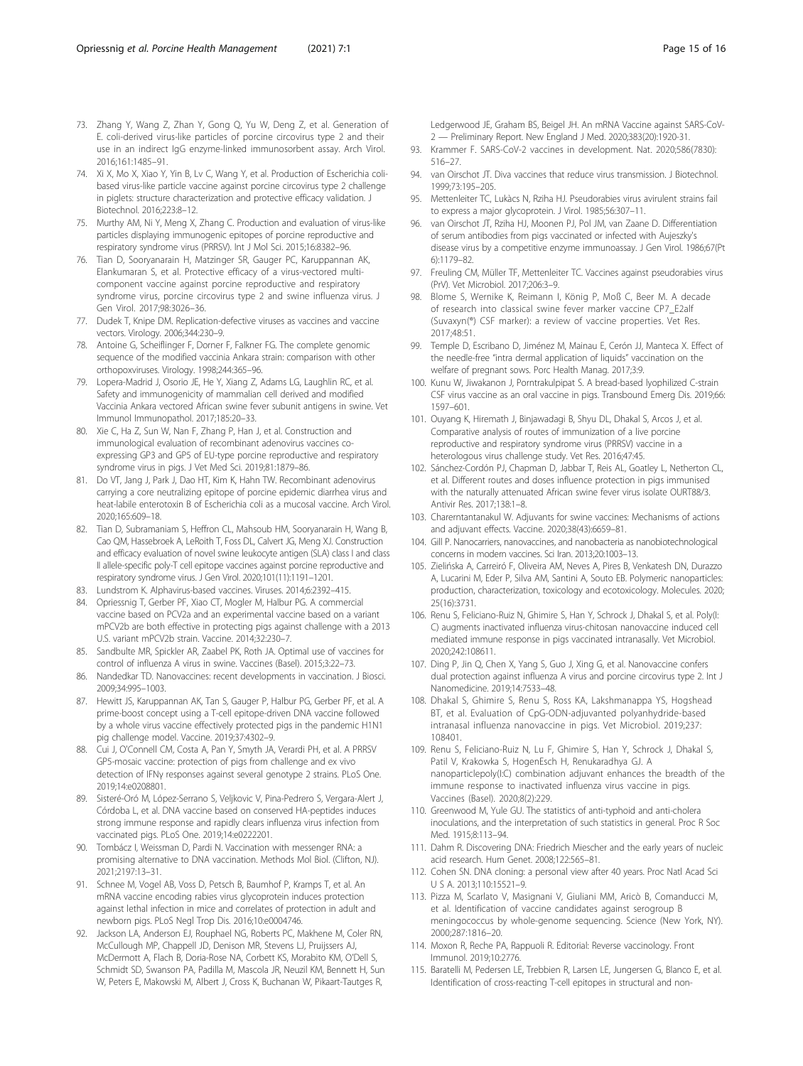- <span id="page-14-0"></span>73. Zhang Y, Wang Z, Zhan Y, Gong Q, Yu W, Deng Z, et al. Generation of E. coli-derived virus-like particles of porcine circovirus type 2 and their use in an indirect IgG enzyme-linked immunosorbent assay. Arch Virol. 2016;161:1485–91.
- 74. Xi X, Mo X, Xiao Y, Yin B, Lv C, Wang Y, et al. Production of Escherichia colibased virus-like particle vaccine against porcine circovirus type 2 challenge in piglets: structure characterization and protective efficacy validation. J Biotechnol. 2016;223:8–12.
- 75. Murthy AM, Ni Y, Meng X, Zhang C. Production and evaluation of virus-like particles displaying immunogenic epitopes of porcine reproductive and respiratory syndrome virus (PRRSV). Int J Mol Sci. 2015;16:8382–96.
- 76. Tian D, Sooryanarain H, Matzinger SR, Gauger PC, Karuppannan AK, Elankumaran S, et al. Protective efficacy of a virus-vectored multicomponent vaccine against porcine reproductive and respiratory syndrome virus, porcine circovirus type 2 and swine influenza virus. J Gen Virol. 2017;98:3026–36.
- 77. Dudek T, Knipe DM. Replication-defective viruses as vaccines and vaccine vectors. Virology. 2006;344:230–9.
- 78. Antoine G, Scheiflinger F, Dorner F, Falkner FG. The complete genomic sequence of the modified vaccinia Ankara strain: comparison with other orthopoxviruses. Virology. 1998;244:365–96.
- 79. Lopera-Madrid J, Osorio JE, He Y, Xiang Z, Adams LG, Laughlin RC, et al. Safety and immunogenicity of mammalian cell derived and modified Vaccinia Ankara vectored African swine fever subunit antigens in swine. Vet Immunol Immunopathol. 2017;185:20–33.
- 80. Xie C, Ha Z, Sun W, Nan F, Zhang P, Han J, et al. Construction and immunological evaluation of recombinant adenovirus vaccines coexpressing GP3 and GP5 of EU-type porcine reproductive and respiratory syndrome virus in pigs. J Vet Med Sci. 2019;81:1879–86.
- 81. Do VT, Jang J, Park J, Dao HT, Kim K, Hahn TW. Recombinant adenovirus carrying a core neutralizing epitope of porcine epidemic diarrhea virus and heat-labile enterotoxin B of Escherichia coli as a mucosal vaccine. Arch Virol. 2020;165:609–18.
- 82. Tian D, Subramaniam S, Heffron CL, Mahsoub HM, Sooryanarain H, Wang B, Cao QM, Hassebroek A, LeRoith T, Foss DL, Calvert JG, Meng XJ. Construction and efficacy evaluation of novel swine leukocyte antigen (SLA) class I and class II allele-specific poly-T cell epitope vaccines against porcine reproductive and respiratory syndrome virus. J Gen Virol. 2020;101(11):1191–1201.
- 83. Lundstrom K. Alphavirus-based vaccines. Viruses. 2014;6:2392–415.
- 84. Opriessnig T, Gerber PF, Xiao CT, Mogler M, Halbur PG. A commercial vaccine based on PCV2a and an experimental vaccine based on a variant mPCV2b are both effective in protecting pigs against challenge with a 2013 U.S. variant mPCV2b strain. Vaccine. 2014;32:230–7.
- 85. Sandbulte MR, Spickler AR, Zaabel PK, Roth JA. Optimal use of vaccines for control of influenza A virus in swine. Vaccines (Basel). 2015;3:22–73.
- 86. Nandedkar TD. Nanovaccines: recent developments in vaccination. J Biosci. 2009;34:995–1003.
- 87. Hewitt JS, Karuppannan AK, Tan S, Gauger P, Halbur PG, Gerber PF, et al. A prime-boost concept using a T-cell epitope-driven DNA vaccine followed by a whole virus vaccine effectively protected pigs in the pandemic H1N1 pig challenge model. Vaccine. 2019;37:4302–9.
- 88. Cui J, O'Connell CM, Costa A, Pan Y, Smyth JA, Verardi PH, et al. A PRRSV GP5-mosaic vaccine: protection of pigs from challenge and ex vivo detection of IFNγ responses against several genotype 2 strains. PLoS One. 2019;14:e0208801.
- 89. Sisteré-Oró M, López-Serrano S, Veljkovic V, Pina-Pedrero S, Vergara-Alert J, Córdoba L, et al. DNA vaccine based on conserved HA-peptides induces strong immune response and rapidly clears influenza virus infection from vaccinated pigs. PLoS One. 2019;14:e0222201.
- 90. Tombácz I, Weissman D, Pardi N. Vaccination with messenger RNA: a promising alternative to DNA vaccination. Methods Mol Biol. (Clifton, NJ). 2021;2197:13–31.
- 91. Schnee M, Vogel AB, Voss D, Petsch B, Baumhof P, Kramps T, et al. An mRNA vaccine encoding rabies virus glycoprotein induces protection against lethal infection in mice and correlates of protection in adult and newborn pigs. PLoS Negl Trop Dis. 2016;10:e0004746.
- 92. Jackson LA, Anderson EJ, Rouphael NG, Roberts PC, Makhene M, Coler RN, McCullough MP, Chappell JD, Denison MR, Stevens LJ, Pruijssers AJ, McDermott A, Flach B, Doria-Rose NA, Corbett KS, Morabito KM, O'Dell S, Schmidt SD, Swanson PA, Padilla M, Mascola JR, Neuzil KM, Bennett H, Sun W, Peters E, Makowski M, Albert J, Cross K, Buchanan W, Pikaart-Tautges R,

Ledgerwood JE, Graham BS, Beigel JH. An mRNA Vaccine against SARS-CoV-2 — Preliminary Report. New England J Med. 2020;383(20):1920-31.

- 93. Krammer F. SARS-CoV-2 vaccines in development. Nat. 2020;586(7830): 516–27.
- 94. van Oirschot JT. Diva vaccines that reduce virus transmission. J Biotechnol. 1999;73:195–205.
- 95. Mettenleiter TC, Lukàcs N, Rziha HJ. Pseudorabies virus avirulent strains fail to express a major glycoprotein. J Virol. 1985;56:307–11.
- 96. van Oirschot JT, Rziha HJ, Moonen PJ, Pol JM, van Zaane D. Differentiation of serum antibodies from pigs vaccinated or infected with Aujeszky's disease virus by a competitive enzyme immunoassay. J Gen Virol. 1986;67(Pt 6):1179–82.
- 97. Freuling CM, Müller TF, Mettenleiter TC. Vaccines against pseudorabies virus (PrV). Vet Microbiol. 2017;206:3–9.
- 98. Blome S, Wernike K, Reimann I, König P, Moß C, Beer M. A decade of research into classical swine fever marker vaccine CP7\_E2alf (Suvaxyn(®) CSF marker): a review of vaccine properties. Vet Res. 2017;48:51.
- 99. Temple D, Escribano D, Jiménez M, Mainau E, Cerón JJ, Manteca X. Effect of the needle-free "intra dermal application of liquids" vaccination on the welfare of pregnant sows. Porc Health Manag. 2017;3:9.
- 100. Kunu W, Jiwakanon J, Porntrakulpipat S. A bread-based lyophilized C-strain CSF virus vaccine as an oral vaccine in pigs. Transbound Emerg Dis. 2019;66: 1597–601.
- 101. Ouyang K, Hiremath J, Binjawadagi B, Shyu DL, Dhakal S, Arcos J, et al. Comparative analysis of routes of immunization of a live porcine reproductive and respiratory syndrome virus (PRRSV) vaccine in a heterologous virus challenge study. Vet Res. 2016;47:45.
- 102. Sánchez-Cordón PJ, Chapman D, Jabbar T, Reis AL, Goatley L, Netherton CL, et al. Different routes and doses influence protection in pigs immunised with the naturally attenuated African swine fever virus isolate OURT88/3. Antivir Res. 2017;138:1–8.
- 103. Charerntantanakul W. Adjuvants for swine vaccines: Mechanisms of actions and adjuvant effects. Vaccine. 2020;38(43):6659–81.
- 104. Gill P. Nanocarriers, nanovaccines, and nanobacteria as nanobiotechnological concerns in modern vaccines. Sci Iran. 2013;20:1003–13.
- 105. Zielińska A, Carreiró F, Oliveira AM, Neves A, Pires B, Venkatesh DN, Durazzo A, Lucarini M, Eder P, Silva AM, Santini A, Souto EB. Polymeric nanoparticles: production, characterization, toxicology and ecotoxicology. Molecules. 2020; 25(16):3731.
- 106. Renu S, Feliciano-Ruiz N, Ghimire S, Han Y, Schrock J, Dhakal S, et al. Poly(I: C) augments inactivated influenza virus-chitosan nanovaccine induced cell mediated immune response in pigs vaccinated intranasally. Vet Microbiol. 2020;242:108611.
- 107. Ding P, Jin Q, Chen X, Yang S, Guo J, Xing G, et al. Nanovaccine confers dual protection against influenza A virus and porcine circovirus type 2. Int J Nanomedicine. 2019;14:7533–48.
- 108. Dhakal S, Ghimire S, Renu S, Ross KA, Lakshmanappa YS, Hogshead BT, et al. Evaluation of CpG-ODN-adjuvanted polyanhydride-based intranasal influenza nanovaccine in pigs. Vet Microbiol. 2019;237: 108401.
- 109. Renu S, Feliciano-Ruiz N, Lu F, Ghimire S, Han Y, Schrock J, Dhakal S, Patil V, Krakowka S, HogenEsch H, Renukaradhya GJ. A nanoparticlepoly(I:C) combination adjuvant enhances the breadth of the immune response to inactivated influenza virus vaccine in pigs. Vaccines (Basel). 2020;8(2):229.
- 110. Greenwood M, Yule GU. The statistics of anti-typhoid and anti-cholera inoculations, and the interpretation of such statistics in general. Proc R Soc Med. 1915;8:113–94.
- 111. Dahm R. Discovering DNA: Friedrich Miescher and the early years of nucleic acid research. Hum Genet. 2008;122:565–81.
- 112. Cohen SN. DNA cloning: a personal view after 40 years. Proc Natl Acad Sci U S A. 2013;110:15521–9.
- 113. Pizza M, Scarlato V, Masignani V, Giuliani MM, Aricò B, Comanducci M, et al. Identification of vaccine candidates against serogroup B meningococcus by whole-genome sequencing. Science (New York, NY). 2000;287:1816–20.
- 114. Moxon R, Reche PA, Rappuoli R. Editorial: Reverse vaccinology. Front Immunol. 2019;10:2776.
- 115. Baratelli M, Pedersen LE, Trebbien R, Larsen LE, Jungersen G, Blanco E, et al. Identification of cross-reacting T-cell epitopes in structural and non-